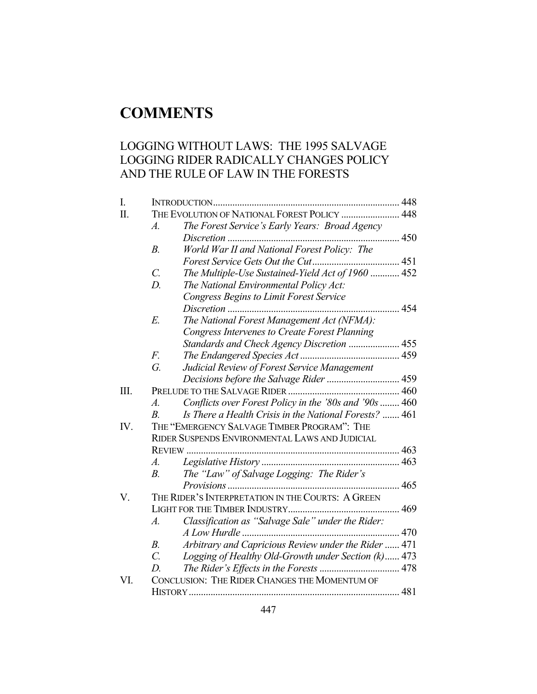# **COMMENTS**

# LOGGING WITHOUT LAWS: THE 1995 SALVAGE LOGGING RIDER RADICALLY CHANGES POLICY AND THE RULE OF LAW IN THE FORESTS

| I.  |                                                |                                                        |     |  |
|-----|------------------------------------------------|--------------------------------------------------------|-----|--|
| Π.  | THE EVOLUTION OF NATIONAL FOREST POLICY  448   |                                                        |     |  |
|     | $\overline{A}$ .                               | The Forest Service's Early Years: Broad Agency         |     |  |
|     |                                                |                                                        |     |  |
|     | $B$ .                                          | World War II and National Forest Policy: The           |     |  |
|     |                                                |                                                        |     |  |
|     | $\mathcal{C}$ .                                | The Multiple-Use Sustained-Yield Act of 1960  452      |     |  |
|     | $D$ .                                          | The National Environmental Policy Act:                 |     |  |
|     |                                                | <b>Congress Begins to Limit Forest Service</b>         |     |  |
|     |                                                |                                                        | 454 |  |
|     | E.                                             | The National Forest Management Act (NFMA):             |     |  |
|     |                                                | <b>Congress Intervenes to Create Forest Planning</b>   |     |  |
|     |                                                | Standards and Check Agency Discretion  455             |     |  |
|     | $F_{\cdot}$                                    |                                                        |     |  |
|     | G.                                             | Judicial Review of Forest Service Management           |     |  |
|     |                                                |                                                        |     |  |
| Ш.  |                                                |                                                        |     |  |
|     | A.                                             | Conflicts over Forest Policy in the '80s and '90s  460 |     |  |
|     | $\overline{B}$                                 | Is There a Health Crisis in the National Forests?  461 |     |  |
| IV. |                                                | THE "EMERGENCY SALVAGE TIMBER PROGRAM": THE            |     |  |
|     | RIDER SUSPENDS ENVIRONMENTAL LAWS AND JUDICIAL |                                                        |     |  |
|     |                                                | REVIEW                                                 |     |  |
|     | A.                                             |                                                        |     |  |
|     | $B_{\cdot}$                                    | The "Law" of Salvage Logging: The Rider's              |     |  |
|     |                                                |                                                        |     |  |
| V.  |                                                | THE RIDER'S INTERPRETATION IN THE COURTS: A GREEN      |     |  |
|     |                                                |                                                        |     |  |
|     | $\boldsymbol{A}$ .                             | Classification as "Salvage Sale" under the Rider:      |     |  |
|     |                                                |                                                        |     |  |
|     | B <sub>1</sub>                                 | Arbitrary and Capricious Review under the Rider  471   |     |  |
|     | $\overline{C}$ .                               | Logging of Healthy Old-Growth under Section (k) 473    |     |  |
|     | D.                                             |                                                        |     |  |
| VI. |                                                | CONCLUSION: THE RIDER CHANGES THE MOMENTUM OF          |     |  |
|     |                                                |                                                        |     |  |
|     |                                                |                                                        |     |  |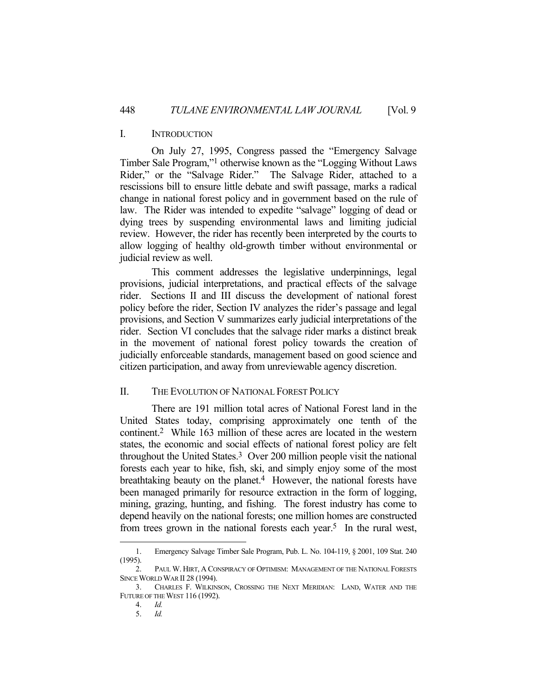#### I. INTRODUCTION

 On July 27, 1995, Congress passed the "Emergency Salvage Timber Sale Program,"1 otherwise known as the "Logging Without Laws Rider," or the "Salvage Rider." The Salvage Rider, attached to a rescissions bill to ensure little debate and swift passage, marks a radical change in national forest policy and in government based on the rule of law. The Rider was intended to expedite "salvage" logging of dead or dying trees by suspending environmental laws and limiting judicial review. However, the rider has recently been interpreted by the courts to allow logging of healthy old-growth timber without environmental or judicial review as well.

 This comment addresses the legislative underpinnings, legal provisions, judicial interpretations, and practical effects of the salvage rider. Sections II and III discuss the development of national forest policy before the rider, Section IV analyzes the rider's passage and legal provisions, and Section V summarizes early judicial interpretations of the rider. Section VI concludes that the salvage rider marks a distinct break in the movement of national forest policy towards the creation of judicially enforceable standards, management based on good science and citizen participation, and away from unreviewable agency discretion.

#### II. THE EVOLUTION OF NATIONAL FOREST POLICY

 There are 191 million total acres of National Forest land in the United States today, comprising approximately one tenth of the continent.2 While 163 million of these acres are located in the western states, the economic and social effects of national forest policy are felt throughout the United States.3 Over 200 million people visit the national forests each year to hike, fish, ski, and simply enjoy some of the most breathtaking beauty on the planet.4 However, the national forests have been managed primarily for resource extraction in the form of logging, mining, grazing, hunting, and fishing. The forest industry has come to depend heavily on the national forests; one million homes are constructed from trees grown in the national forests each year.<sup>5</sup> In the rural west,

 <sup>1.</sup> Emergency Salvage Timber Sale Program, Pub. L. No. 104-119, § 2001, 109 Stat. 240 (1995).

 <sup>2.</sup> PAUL W. HIRT, A CONSPIRACY OF OPTIMISM: MANAGEMENT OF THE NATIONAL FORESTS SINCE WORLD WAR II 28 (1994).

 <sup>3.</sup> CHARLES F. WILKINSON, CROSSING THE NEXT MERIDIAN: LAND, WATER AND THE FUTURE OF THE WEST 116 (1992).

 <sup>4.</sup> *Id.*

 <sup>5.</sup> *Id.*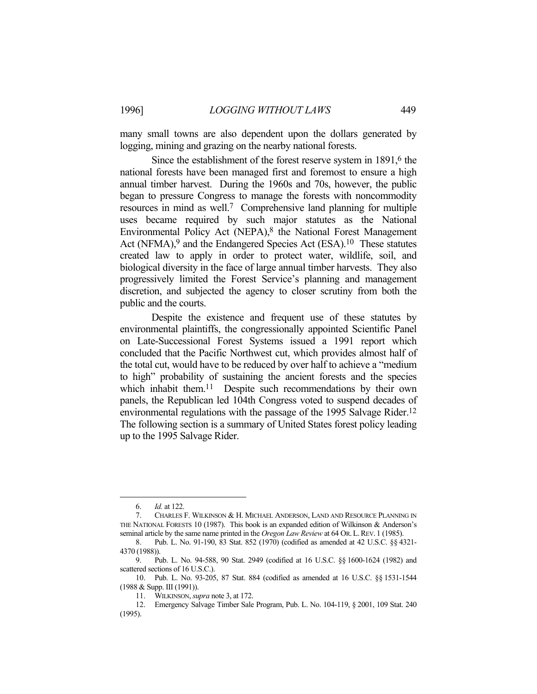many small towns are also dependent upon the dollars generated by logging, mining and grazing on the nearby national forests.

Since the establishment of the forest reserve system in 1891,<sup>6</sup> the national forests have been managed first and foremost to ensure a high annual timber harvest. During the 1960s and 70s, however, the public began to pressure Congress to manage the forests with noncommodity resources in mind as well.7 Comprehensive land planning for multiple uses became required by such major statutes as the National Environmental Policy Act (NEPA), $8$  the National Forest Management Act (NFMA),<sup>9</sup> and the Endangered Species Act (ESA).<sup>10</sup> These statutes created law to apply in order to protect water, wildlife, soil, and biological diversity in the face of large annual timber harvests. They also progressively limited the Forest Service's planning and management discretion, and subjected the agency to closer scrutiny from both the public and the courts.

 Despite the existence and frequent use of these statutes by environmental plaintiffs, the congressionally appointed Scientific Panel on Late-Successional Forest Systems issued a 1991 report which concluded that the Pacific Northwest cut, which provides almost half of the total cut, would have to be reduced by over half to achieve a "medium to high" probability of sustaining the ancient forests and the species which inhabit them.<sup>11</sup> Despite such recommendations by their own panels, the Republican led 104th Congress voted to suspend decades of environmental regulations with the passage of the 1995 Salvage Rider.<sup>12</sup> The following section is a summary of United States forest policy leading up to the 1995 Salvage Rider.

 <sup>6.</sup> *Id.* at 122.

 <sup>7.</sup> CHARLES F. WILKINSON & H. MICHAEL ANDERSON, LAND AND RESOURCE PLANNING IN THE NATIONAL FORESTS 10 (1987). This book is an expanded edition of Wilkinson & Anderson's seminal article by the same name printed in the *Oregon Law Review* at 64 OR.L.REV. 1 (1985).

 <sup>8.</sup> Pub. L. No. 91-190, 83 Stat. 852 (1970) (codified as amended at 42 U.S.C. §§ 4321- 4370 (1988)).

 <sup>9.</sup> Pub. L. No. 94-588, 90 Stat. 2949 (codified at 16 U.S.C. §§ 1600-1624 (1982) and scattered sections of 16 U.S.C.).

 <sup>10.</sup> Pub. L. No. 93-205, 87 Stat. 884 (codified as amended at 16 U.S.C. §§ 1531-1544 (1988 & Supp. III (1991)).

 <sup>11.</sup> WILKINSON, *supra* note 3, at 172.

 <sup>12.</sup> Emergency Salvage Timber Sale Program, Pub. L. No. 104-119, § 2001, 109 Stat. 240 (1995).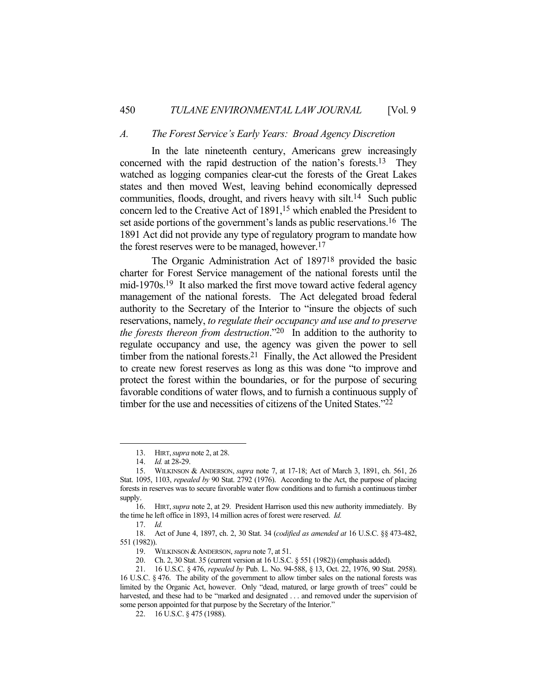#### *A. The Forest Service's Early Years: Broad Agency Discretion*

 In the late nineteenth century, Americans grew increasingly concerned with the rapid destruction of the nation's forests.13 They watched as logging companies clear-cut the forests of the Great Lakes states and then moved West, leaving behind economically depressed communities, floods, drought, and rivers heavy with silt.14 Such public concern led to the Creative Act of 1891,<sup>15</sup> which enabled the President to set aside portions of the government's lands as public reservations.<sup>16</sup> The 1891 Act did not provide any type of regulatory program to mandate how the forest reserves were to be managed, however.17

 The Organic Administration Act of 189718 provided the basic charter for Forest Service management of the national forests until the mid-1970s.19 It also marked the first move toward active federal agency management of the national forests. The Act delegated broad federal authority to the Secretary of the Interior to "insure the objects of such reservations, namely, *to regulate their occupancy and use and to preserve the forests thereon from destruction*."20 In addition to the authority to regulate occupancy and use, the agency was given the power to sell timber from the national forests.<sup>21</sup> Finally, the Act allowed the President to create new forest reserves as long as this was done "to improve and protect the forest within the boundaries, or for the purpose of securing favorable conditions of water flows, and to furnish a continuous supply of timber for the use and necessities of citizens of the United States."22

 <sup>13.</sup> HIRT,*supra* note 2, at 28.

 <sup>14.</sup> *Id.* at 28-29.

 <sup>15.</sup> WILKINSON & ANDERSON, *supra* note 7, at 17-18; Act of March 3, 1891, ch. 561, 26 Stat. 1095, 1103, *repealed by* 90 Stat. 2792 (1976). According to the Act, the purpose of placing forests in reserves was to secure favorable water flow conditions and to furnish a continuous timber supply.

 <sup>16.</sup> HIRT,*supra* note 2, at 29. President Harrison used this new authority immediately. By the time he left office in 1893, 14 million acres of forest were reserved. *Id.*

 <sup>17.</sup> *Id.*

 <sup>18.</sup> Act of June 4, 1897, ch. 2, 30 Stat. 34 (*codified as amended at* 16 U.S.C. §§ 473-482, 551 (1982)).

 <sup>19.</sup> WILKINSON &ANDERSON, *supra* note 7, at 51.

 <sup>20.</sup> Ch. 2, 30 Stat. 35 (current version at 16 U.S.C. § 551 (1982)) (emphasis added).

 <sup>21. 16</sup> U.S.C. § 476, *repealed by* Pub. L. No. 94-588, § 13, Oct. 22, 1976, 90 Stat. 2958). 16 U.S.C. § 476. The ability of the government to allow timber sales on the national forests was limited by the Organic Act, however. Only "dead, matured, or large growth of trees" could be harvested, and these had to be "marked and designated . . . and removed under the supervision of some person appointed for that purpose by the Secretary of the Interior."

 <sup>22. 16</sup> U.S.C. § 475 (1988).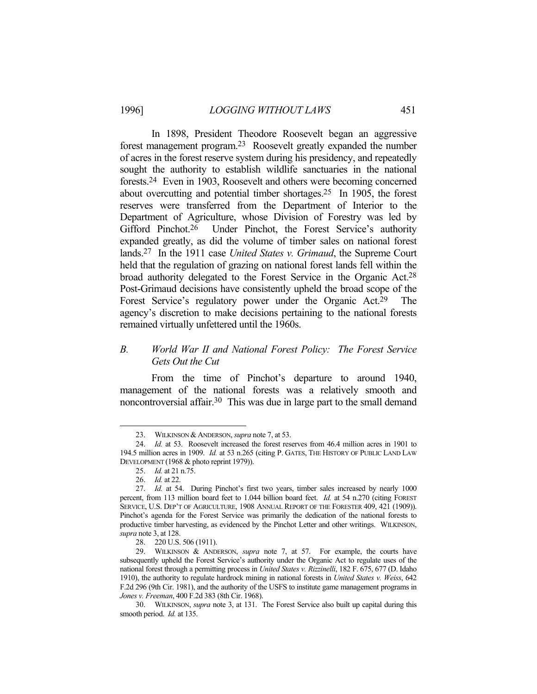In 1898, President Theodore Roosevelt began an aggressive forest management program.23 Roosevelt greatly expanded the number of acres in the forest reserve system during his presidency, and repeatedly sought the authority to establish wildlife sanctuaries in the national forests.24 Even in 1903, Roosevelt and others were becoming concerned about overcutting and potential timber shortages.25 In 1905, the forest reserves were transferred from the Department of Interior to the Department of Agriculture, whose Division of Forestry was led by Gifford Pinchot.<sup>26</sup> Under Pinchot, the Forest Service's authority expanded greatly, as did the volume of timber sales on national forest lands.27 In the 1911 case *United States v. Grimaud*, the Supreme Court held that the regulation of grazing on national forest lands fell within the broad authority delegated to the Forest Service in the Organic Act.28 Post-Grimaud decisions have consistently upheld the broad scope of the Forest Service's regulatory power under the Organic Act.29 The agency's discretion to make decisions pertaining to the national forests remained virtually unfettered until the 1960s.

# *B. World War II and National Forest Policy: The Forest Service Gets Out the Cut*

 From the time of Pinchot's departure to around 1940, management of the national forests was a relatively smooth and noncontroversial affair.30 This was due in large part to the small demand

 <sup>23.</sup> WILKINSON &ANDERSON, *supra* note 7, at 53.

 <sup>24.</sup> *Id.* at 53. Roosevelt increased the forest reserves from 46.4 million acres in 1901 to 194.5 million acres in 1909. *Id.* at 53 n.265 (citing P. GATES, THE HISTORY OF PUBLIC LAND LAW DEVELOPMENT (1968 & photo reprint 1979)).

 <sup>25.</sup> *Id.* at 21 n.75.

 <sup>26.</sup> *Id.* at 22.

 <sup>27.</sup> *Id.* at 54. During Pinchot's first two years, timber sales increased by nearly 1000 percent, from 113 million board feet to 1.044 billion board feet. *Id.* at 54 n.270 (citing FOREST SERVICE, U.S. DEP'T OF AGRICULTURE, 1908 ANNUAL REPORT OF THE FORESTER 409, 421 (1909)). Pinchot's agenda for the Forest Service was primarily the dedication of the national forests to productive timber harvesting, as evidenced by the Pinchot Letter and other writings. WILKINSON, *supra* note 3, at 128.

 <sup>28. 220</sup> U.S. 506 (1911).

 <sup>29.</sup> WILKINSON & ANDERSON, *supra* note 7, at 57. For example, the courts have subsequently upheld the Forest Service's authority under the Organic Act to regulate uses of the national forest through a permitting process in *United States v. Rizzinelli*, 182 F. 675, 677 (D. Idaho 1910), the authority to regulate hardrock mining in national forests in *United States v. Weiss*, 642 F.2d 296 (9th Cir. 1981), and the authority of the USFS to institute game management programs in *Jones v. Freeman*, 400 F.2d 383 (8th Cir. 1968).

 <sup>30.</sup> WILKINSON, *supra* note 3, at 131. The Forest Service also built up capital during this smooth period. *Id.* at 135.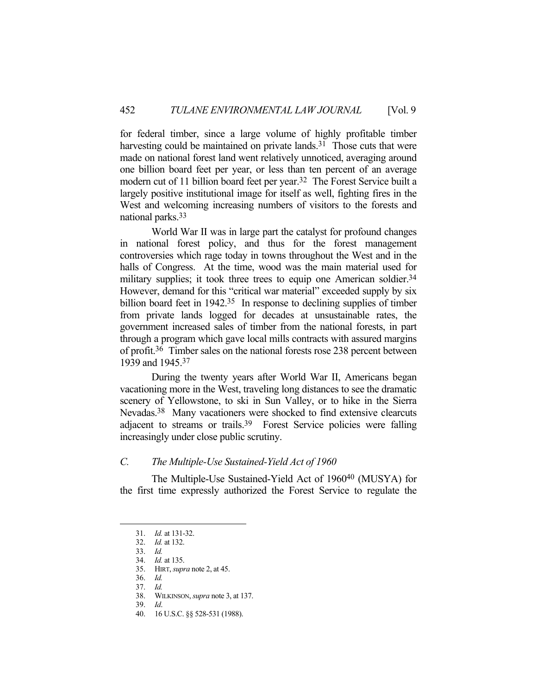for federal timber, since a large volume of highly profitable timber harvesting could be maintained on private lands.<sup>31</sup> Those cuts that were made on national forest land went relatively unnoticed, averaging around one billion board feet per year, or less than ten percent of an average modern cut of 11 billion board feet per year.<sup>32</sup> The Forest Service built a largely positive institutional image for itself as well, fighting fires in the West and welcoming increasing numbers of visitors to the forests and national parks.33

 World War II was in large part the catalyst for profound changes in national forest policy, and thus for the forest management controversies which rage today in towns throughout the West and in the halls of Congress. At the time, wood was the main material used for military supplies; it took three trees to equip one American soldier.<sup>34</sup> However, demand for this "critical war material" exceeded supply by six billion board feet in 1942.<sup>35</sup> In response to declining supplies of timber from private lands logged for decades at unsustainable rates, the government increased sales of timber from the national forests, in part through a program which gave local mills contracts with assured margins of profit.36 Timber sales on the national forests rose 238 percent between 1939 and 1945.37

 During the twenty years after World War II, Americans began vacationing more in the West, traveling long distances to see the dramatic scenery of Yellowstone, to ski in Sun Valley, or to hike in the Sierra Nevadas.38 Many vacationers were shocked to find extensive clearcuts adjacent to streams or trails.39 Forest Service policies were falling increasingly under close public scrutiny.

# *C. The Multiple-Use Sustained-Yield Act of 1960*

 The Multiple-Use Sustained-Yield Act of 196040 (MUSYA) for the first time expressly authorized the Forest Service to regulate the

 <sup>31.</sup> *Id.* at 131-32.

 <sup>32.</sup> *Id.* at 132.

 <sup>33.</sup> *Id.*

 <sup>34.</sup> *Id.* at 135.

 <sup>35.</sup> HIRT, *supra* note 2, at 45.

 <sup>36.</sup> *Id.* 37. *Id.*

 <sup>38.</sup> WILKINSON, *supra* note 3, at 137.

 <sup>39.</sup> *Id*.

 <sup>40. 16</sup> U.S.C. §§ 528-531 (1988).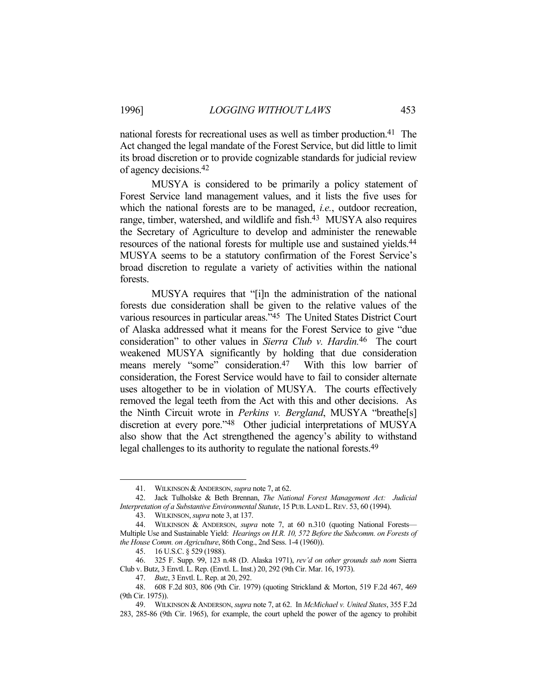national forests for recreational uses as well as timber production.41 The Act changed the legal mandate of the Forest Service, but did little to limit its broad discretion or to provide cognizable standards for judicial review of agency decisions.42

 MUSYA is considered to be primarily a policy statement of Forest Service land management values, and it lists the five uses for which the national forests are to be managed, *i.e.*, outdoor recreation, range, timber, watershed, and wildlife and fish.<sup>43</sup> MUSYA also requires the Secretary of Agriculture to develop and administer the renewable resources of the national forests for multiple use and sustained yields.<sup>44</sup> MUSYA seems to be a statutory confirmation of the Forest Service's broad discretion to regulate a variety of activities within the national forests.

 MUSYA requires that "[i]n the administration of the national forests due consideration shall be given to the relative values of the various resources in particular areas."45 The United States District Court of Alaska addressed what it means for the Forest Service to give "due consideration" to other values in *Sierra Club v. Hardin.*46 The court weakened MUSYA significantly by holding that due consideration means merely "some" consideration.<sup>47</sup> With this low barrier of consideration, the Forest Service would have to fail to consider alternate uses altogether to be in violation of MUSYA. The courts effectively removed the legal teeth from the Act with this and other decisions. As the Ninth Circuit wrote in *Perkins v. Bergland*, MUSYA "breathe[s] discretion at every pore."<sup>48</sup> Other judicial interpretations of MUSYA also show that the Act strengthened the agency's ability to withstand legal challenges to its authority to regulate the national forests.49

 <sup>41.</sup> WILKINSON &ANDERSON, *supra* note 7, at 62.

 <sup>42.</sup> Jack Tulholske & Beth Brennan, *The National Forest Management Act: Judicial Interpretation of a Substantive Environmental Statute*, 15 PUB.LAND L.REV. 53, 60 (1994).

 <sup>43.</sup> WILKINSON, *supra* note 3, at 137.

 <sup>44.</sup> WILKINSON & ANDERSON, *supra* note 7, at 60 n.310 (quoting National Forests— Multiple Use and Sustainable Yield: *Hearings on H.R. 10, 572 Before the Subcomm. on Forests of the House Comm. on Agriculture*, 86th Cong., 2nd Sess. 1-4 (1960)).

 <sup>45. 16</sup> U.S.C. § 529 (1988).

 <sup>46. 325</sup> F. Supp. 99, 123 n.48 (D. Alaska 1971), *rev'd on other grounds sub nom* Sierra Club v. Butz, 3 Envtl. L. Rep. (Envtl. L. Inst.) 20, 292 (9th Cir. Mar. 16, 1973).

 <sup>47.</sup> *Butz*, 3 Envtl. L. Rep. at 20, 292.

 <sup>48. 608</sup> F.2d 803, 806 (9th Cir. 1979) (quoting Strickland & Morton, 519 F.2d 467, 469 (9th Cir. 1975)).

 <sup>49.</sup> WILKINSON &ANDERSON, *supra* note 7, at 62. In *McMichael v. United States*, 355 F.2d 283, 285-86 (9th Cir. 1965), for example, the court upheld the power of the agency to prohibit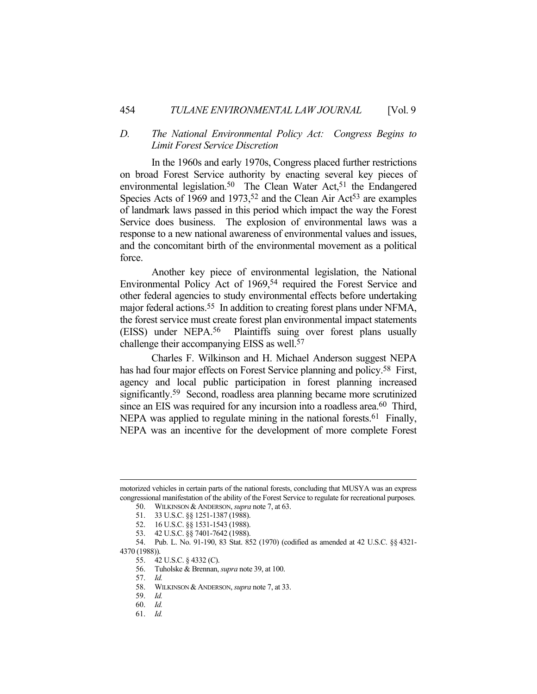# *D. The National Environmental Policy Act: Congress Begins to Limit Forest Service Discretion*

 In the 1960s and early 1970s, Congress placed further restrictions on broad Forest Service authority by enacting several key pieces of environmental legislation.<sup>50</sup> The Clean Water Act,<sup>51</sup> the Endangered Species Acts of 1969 and 1973,<sup>52</sup> and the Clean Air Act<sup>53</sup> are examples of landmark laws passed in this period which impact the way the Forest Service does business. The explosion of environmental laws was a response to a new national awareness of environmental values and issues, and the concomitant birth of the environmental movement as a political force.

 Another key piece of environmental legislation, the National Environmental Policy Act of 1969,<sup>54</sup> required the Forest Service and other federal agencies to study environmental effects before undertaking major federal actions.<sup>55</sup> In addition to creating forest plans under NFMA, the forest service must create forest plan environmental impact statements (EISS) under NEPA.56 Plaintiffs suing over forest plans usually challenge their accompanying EISS as well.57

 Charles F. Wilkinson and H. Michael Anderson suggest NEPA has had four major effects on Forest Service planning and policy.<sup>58</sup> First, agency and local public participation in forest planning increased significantly.<sup>59</sup> Second, roadless area planning became more scrutinized since an EIS was required for any incursion into a roadless area.<sup>60</sup> Third, NEPA was applied to regulate mining in the national forests.<sup>61</sup> Finally, NEPA was an incentive for the development of more complete Forest

57. *Id.*

motorized vehicles in certain parts of the national forests, concluding that MUSYA was an express congressional manifestation of the ability of the Forest Service to regulate for recreational purposes.

 <sup>50.</sup> WILKINSON &ANDERSON, *supra* note 7, at 63.

 <sup>51. 33</sup> U.S.C. §§ 1251-1387 (1988).

 <sup>52. 16</sup> U.S.C. §§ 1531-1543 (1988).

 <sup>53. 42</sup> U.S.C. §§ 7401-7642 (1988).

 <sup>54.</sup> Pub. L. No. 91-190, 83 Stat. 852 (1970) (codified as amended at 42 U.S.C. §§ 4321- 4370 (1988)).

 <sup>55. 42</sup> U.S.C. § 4332 (C).

 <sup>56.</sup> Tuholske & Brennan, *supra* note 39, at 100.

 <sup>58.</sup> WILKINSON &ANDERSON, *supra* note 7, at 33.

 <sup>59.</sup> *Id.*

 <sup>60.</sup> *Id.*

 <sup>61.</sup> *Id.*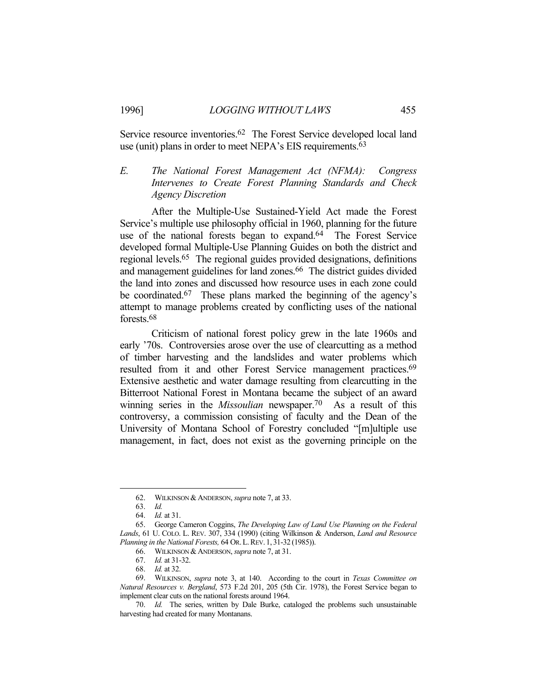Service resource inventories.62 The Forest Service developed local land use (unit) plans in order to meet NEPA's EIS requirements.63

# *E. The National Forest Management Act (NFMA): Congress Intervenes to Create Forest Planning Standards and Check Agency Discretion*

 After the Multiple-Use Sustained-Yield Act made the Forest Service's multiple use philosophy official in 1960, planning for the future use of the national forests began to expand.<sup>64</sup> The Forest Service developed formal Multiple-Use Planning Guides on both the district and regional levels.65 The regional guides provided designations, definitions and management guidelines for land zones.<sup>66</sup> The district guides divided the land into zones and discussed how resource uses in each zone could be coordinated.67 These plans marked the beginning of the agency's attempt to manage problems created by conflicting uses of the national forests.68

 Criticism of national forest policy grew in the late 1960s and early '70s. Controversies arose over the use of clearcutting as a method of timber harvesting and the landslides and water problems which resulted from it and other Forest Service management practices.<sup>69</sup> Extensive aesthetic and water damage resulting from clearcutting in the Bitterroot National Forest in Montana became the subject of an award winning series in the *Missoulian* newspaper.70 As a result of this controversy, a commission consisting of faculty and the Dean of the University of Montana School of Forestry concluded "[m]ultiple use management, in fact, does not exist as the governing principle on the

 <sup>62.</sup> WILKINSON &ANDERSON, *supra* note 7, at 33.

 <sup>63.</sup> *Id.*

 <sup>64.</sup> *Id.* at 31.

 <sup>65.</sup> George Cameron Coggins, *The Developing Law of Land Use Planning on the Federal Lands*, 61 U. COLO. L. REV. 307, 334 (1990) (citing Wilkinson & Anderson, *Land and Resource Planning in the National Forests,* 64 OR.L.REV. 1, 31-32 (1985)).

 <sup>66.</sup> WILKINSON &ANDERSON, *supra* note 7, at 31.

 <sup>67.</sup> *Id.* at 31-32.

 <sup>68.</sup> *Id.* at 32.

 <sup>69.</sup> WILKINSON, *supra* note 3, at 140. According to the court in *Texas Committee on Natural Resources v. Bergland*, 573 F.2d 201, 205 (5th Cir. 1978), the Forest Service began to implement clear cuts on the national forests around 1964.

 <sup>70.</sup> *Id.* The series, written by Dale Burke, cataloged the problems such unsustainable harvesting had created for many Montanans.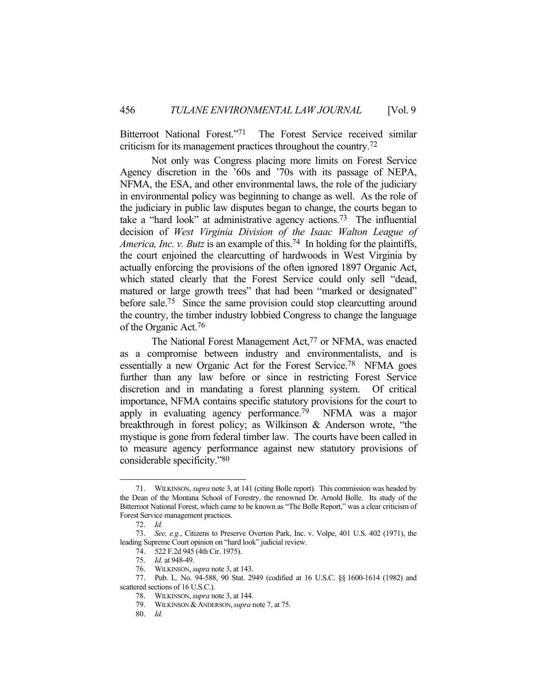Bitterroot National Forest."71 The Forest Service received similar criticism for its management practices throughout the country.72

 Not only was Congress placing more limits on Forest Service Agency discretion in the '60s and '70s with its passage of NEPA, NFMA, the ESA, and other environmental laws, the role of the judiciary in environmental policy was beginning to change as well. As the role of the judiciary in public law disputes began to change, the courts began to take a "hard look" at administrative agency actions.73 The influential decision of *West Virginia Division of the Isaac Walton League of America, Inc. v. Butz* is an example of this.<sup>74</sup> In holding for the plaintiffs, the court enjoined the clearcutting of hardwoods in West Virginia by actually enforcing the provisions of the often ignored 1897 Organic Act, which stated clearly that the Forest Service could only sell "dead, matured or large growth trees" that had been "marked or designated" before sale.<sup>75</sup> Since the same provision could stop clearcutting around the country, the timber industry lobbied Congress to change the language of the Organic Act.76

The National Forest Management Act,<sup>77</sup> or NFMA, was enacted as a compromise between industry and environmentalists, and is essentially a new Organic Act for the Forest Service.78 NFMA goes further than any law before or since in restricting Forest Service discretion and in mandating a forest planning system. Of critical importance, NFMA contains specific statutory provisions for the court to apply in evaluating agency performance.79 NFMA was a major breakthrough in forest policy; as Wilkinson & Anderson wrote, "the mystique is gone from federal timber law. The courts have been called in to measure agency performance against new statutory provisions of considerable specificity."80

 <sup>71.</sup> WILKINSON, *supra* note 3, at 141 (citing Bolle report). This commission was headed by the Dean of the Montana School of Forestry, the renowned Dr. Arnold Bolle. Its study of the Bitterroot National Forest, which came to be known as "The Bolle Report," was a clear criticism of Forest Service management practices.

 <sup>72.</sup> *Id.*

 <sup>73.</sup> *See, e.g.*, Citizens to Preserve Overton Park, Inc. v. Volpe, 401 U.S. 402 (1971), the leading Supreme Court opinion on "hard look" judicial review.

 <sup>74. 522</sup> F.2d 945 (4th Cir. 1975).

 <sup>75.</sup> *Id.* at 948-49.

 <sup>76.</sup> WILKINSON, *supra* note 3, at 143.

 <sup>77.</sup> Pub. L. No. 94-588, 90 Stat. 2949 (codified at 16 U.S.C. §§ 1600-1614 (1982) and scattered sections of 16 U.S.C.).

 <sup>78.</sup> WILKINSON, *supra* note 3, at 144.

 <sup>79.</sup> WILKINSON &ANDERSON,*supra* note 7, at 75.

 <sup>80.</sup> *Id.*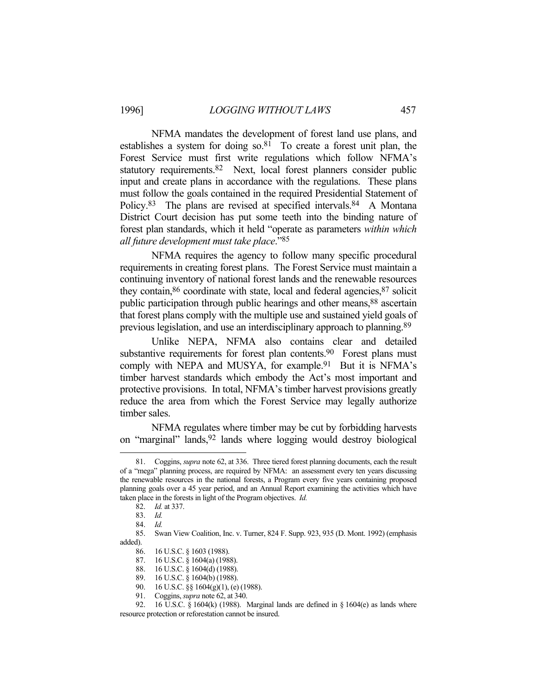NFMA mandates the development of forest land use plans, and establishes a system for doing  $\delta$ <sub>1</sub>. To create a forest unit plan, the Forest Service must first write regulations which follow NFMA's statutory requirements.82 Next, local forest planners consider public input and create plans in accordance with the regulations. These plans must follow the goals contained in the required Presidential Statement of Policy.<sup>83</sup> The plans are revised at specified intervals.<sup>84</sup> A Montana District Court decision has put some teeth into the binding nature of forest plan standards, which it held "operate as parameters *within which all future development must take place*."85

 NFMA requires the agency to follow many specific procedural requirements in creating forest plans. The Forest Service must maintain a continuing inventory of national forest lands and the renewable resources they contain,<sup>86</sup> coordinate with state, local and federal agencies, <sup>87</sup> solicit public participation through public hearings and other means,<sup>88</sup> ascertain that forest plans comply with the multiple use and sustained yield goals of previous legislation, and use an interdisciplinary approach to planning.89

 Unlike NEPA, NFMA also contains clear and detailed substantive requirements for forest plan contents.<sup>90</sup> Forest plans must comply with NEPA and MUSYA, for example.<sup>91</sup> But it is NFMA's timber harvest standards which embody the Act's most important and protective provisions. In total, NFMA's timber harvest provisions greatly reduce the area from which the Forest Service may legally authorize timber sales.

 NFMA regulates where timber may be cut by forbidding harvests on "marginal" lands,92 lands where logging would destroy biological

 <sup>81.</sup> Coggins, *supra* note 62, at 336. Three tiered forest planning documents, each the result of a "mega" planning process, are required by NFMA: an assessment every ten years discussing the renewable resources in the national forests, a Program every five years containing proposed planning goals over a 45 year period, and an Annual Report examining the activities which have taken place in the forests in light of the Program objectives. *Id.*

 <sup>82.</sup> *Id.* at 337.

 <sup>83.</sup> *Id.*

 <sup>84.</sup> *Id.*

 <sup>85.</sup> Swan View Coalition, Inc. v. Turner, 824 F. Supp. 923, 935 (D. Mont. 1992) (emphasis added).

 <sup>86. 16</sup> U.S.C. § 1603 (1988).

 <sup>87. 16</sup> U.S.C. § 1604(a) (1988).

 <sup>88. 16</sup> U.S.C. § 1604(d) (1988).

 <sup>89. 16</sup> U.S.C. § 1604(b) (1988).

 <sup>90. 16</sup> U.S.C. §§ 1604(g)(1), (e) (1988).

 <sup>91.</sup> Coggins, *supra* note 62, at 340.

<sup>92. 16</sup> U.S.C. § 1604(k) (1988). Marginal lands are defined in § 1604(e) as lands where resource protection or reforestation cannot be insured.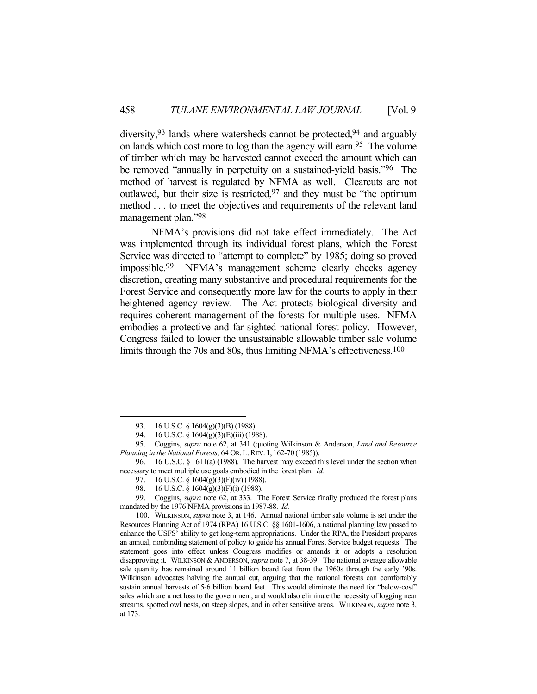diversity,  $93$  lands where watersheds cannot be protected,  $94$  and arguably on lands which cost more to log than the agency will earn.95 The volume of timber which may be harvested cannot exceed the amount which can be removed "annually in perpetuity on a sustained-yield basis."96 The method of harvest is regulated by NFMA as well. Clearcuts are not outlawed, but their size is restricted,  $97$  and they must be "the optimum method . . . to meet the objectives and requirements of the relevant land management plan."98

 NFMA's provisions did not take effect immediately. The Act was implemented through its individual forest plans, which the Forest Service was directed to "attempt to complete" by 1985; doing so proved impossible.99 NFMA's management scheme clearly checks agency discretion, creating many substantive and procedural requirements for the Forest Service and consequently more law for the courts to apply in their heightened agency review. The Act protects biological diversity and requires coherent management of the forests for multiple uses. NFMA embodies a protective and far-sighted national forest policy. However, Congress failed to lower the unsustainable allowable timber sale volume limits through the 70s and 80s, thus limiting NFMA's effectiveness.<sup>100</sup>

<sup>93. 16</sup> U.S.C. § 1604(g)(3)(B) (1988).

 <sup>94. 16</sup> U.S.C. § 1604(g)(3)(E)(iii) (1988).

 <sup>95.</sup> Coggins, *supra* note 62, at 341 (quoting Wilkinson & Anderson, *Land and Resource Planning in the National Forests,* 64 OR.L.REV. 1, 162-70 (1985)).

 <sup>96. 16</sup> U.S.C. § 1611(a) (1988). The harvest may exceed this level under the section when necessary to meet multiple use goals embodied in the forest plan. *Id.*

 <sup>97. 16</sup> U.S.C. § 1604(g)(3)(F)(iv) (1988).

 <sup>98. 16</sup> U.S.C. § 1604(g)(3)(F)(i) (1988).

 <sup>99.</sup> Coggins, *supra* note 62, at 333. The Forest Service finally produced the forest plans mandated by the 1976 NFMA provisions in 1987-88. *Id.*

 <sup>100.</sup> WILKINSON, *supra* note 3, at 146. Annual national timber sale volume is set under the Resources Planning Act of 1974 (RPA) 16 U.S.C. §§ 1601-1606, a national planning law passed to enhance the USFS' ability to get long-term appropriations. Under the RPA, the President prepares an annual, nonbinding statement of policy to guide his annual Forest Service budget requests. The statement goes into effect unless Congress modifies or amends it or adopts a resolution disapproving it. WILKINSON & ANDERSON, *supra* note 7, at 38-39. The national average allowable sale quantity has remained around 11 billion board feet from the 1960s through the early '90s. Wilkinson advocates halving the annual cut, arguing that the national forests can comfortably sustain annual harvests of 5-6 billion board feet. This would eliminate the need for "below-cost" sales which are a net loss to the government, and would also eliminate the necessity of logging near streams, spotted owl nests, on steep slopes, and in other sensitive areas. WILKINSON, *supra* note 3, at 173.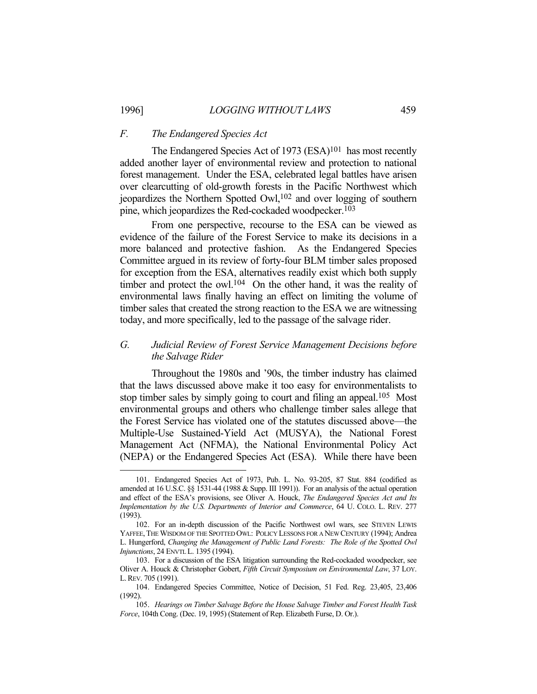#### *F. The Endangered Species Act*

The Endangered Species Act of 1973 (ESA)<sup>101</sup> has most recently added another layer of environmental review and protection to national forest management. Under the ESA, celebrated legal battles have arisen over clearcutting of old-growth forests in the Pacific Northwest which jeopardizes the Northern Spotted Owl,102 and over logging of southern pine, which jeopardizes the Red-cockaded woodpecker.103

 From one perspective, recourse to the ESA can be viewed as evidence of the failure of the Forest Service to make its decisions in a more balanced and protective fashion. As the Endangered Species Committee argued in its review of forty-four BLM timber sales proposed for exception from the ESA, alternatives readily exist which both supply timber and protect the owl.<sup>104</sup> On the other hand, it was the reality of environmental laws finally having an effect on limiting the volume of timber sales that created the strong reaction to the ESA we are witnessing today, and more specifically, led to the passage of the salvage rider.

# *G. Judicial Review of Forest Service Management Decisions before the Salvage Rider*

 Throughout the 1980s and '90s, the timber industry has claimed that the laws discussed above make it too easy for environmentalists to stop timber sales by simply going to court and filing an appeal.<sup>105</sup> Most environmental groups and others who challenge timber sales allege that the Forest Service has violated one of the statutes discussed above—the Multiple-Use Sustained-Yield Act (MUSYA), the National Forest Management Act (NFMA), the National Environmental Policy Act (NEPA) or the Endangered Species Act (ESA). While there have been

 <sup>101.</sup> Endangered Species Act of 1973, Pub. L. No. 93-205, 87 Stat. 884 (codified as amended at 16 U.S.C. §§ 1531-44 (1988 & Supp. III 1991)). For an analysis of the actual operation and effect of the ESA's provisions, see Oliver A. Houck, *The Endangered Species Act and Its Implementation by the U.S. Departments of Interior and Commerce*, 64 U. COLO. L. REV. 277 (1993).

 <sup>102.</sup> For an in-depth discussion of the Pacific Northwest owl wars, see STEVEN LEWIS YAFFEE,THE WISDOM OF THE SPOTTED OWL: POLICY LESSONS FOR A NEW CENTURY (1994); Andrea L. Hungerford, *Changing the Management of Public Land Forests: The Role of the Spotted Owl Injunctions*, 24 ENVTL L. 1395 (1994).

 <sup>103.</sup> For a discussion of the ESA litigation surrounding the Red-cockaded woodpecker, see Oliver A. Houck & Christopher Gobert, *Fifth Circuit Symposium on Environmental Law*, 37 LOY. L.REV. 705 (1991).

 <sup>104.</sup> Endangered Species Committee, Notice of Decision, 51 Fed. Reg. 23,405, 23,406 (1992).

 <sup>105.</sup> *Hearings on Timber Salvage Before the House Salvage Timber and Forest Health Task Force*, 104th Cong. (Dec. 19, 1995) (Statement of Rep. Elizabeth Furse, D. Or.).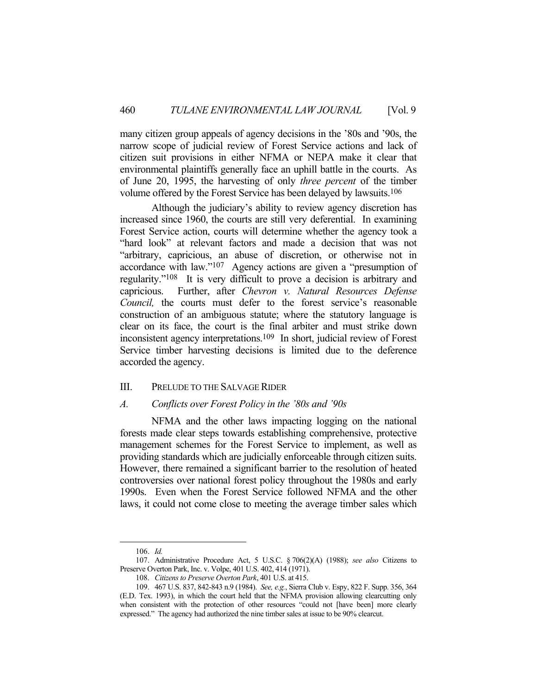many citizen group appeals of agency decisions in the '80s and '90s, the narrow scope of judicial review of Forest Service actions and lack of citizen suit provisions in either NFMA or NEPA make it clear that environmental plaintiffs generally face an uphill battle in the courts. As of June 20, 1995, the harvesting of only *three percent* of the timber volume offered by the Forest Service has been delayed by lawsuits.106

 Although the judiciary's ability to review agency discretion has increased since 1960, the courts are still very deferential. In examining Forest Service action, courts will determine whether the agency took a "hard look" at relevant factors and made a decision that was not "arbitrary, capricious, an abuse of discretion, or otherwise not in accordance with law."107 Agency actions are given a "presumption of regularity."108 It is very difficult to prove a decision is arbitrary and capricious. Further, after *Chevron v. Natural Resources Defense Council,* the courts must defer to the forest service's reasonable construction of an ambiguous statute; where the statutory language is clear on its face, the court is the final arbiter and must strike down inconsistent agency interpretations.109 In short, judicial review of Forest Service timber harvesting decisions is limited due to the deference accorded the agency.

# III. PRELUDE TO THE SALVAGE RIDER

#### *A. Conflicts over Forest Policy in the '80s and '90s*

 NFMA and the other laws impacting logging on the national forests made clear steps towards establishing comprehensive, protective management schemes for the Forest Service to implement, as well as providing standards which are judicially enforceable through citizen suits. However, there remained a significant barrier to the resolution of heated controversies over national forest policy throughout the 1980s and early 1990s. Even when the Forest Service followed NFMA and the other laws, it could not come close to meeting the average timber sales which

 <sup>106.</sup> *Id.*

 <sup>107.</sup> Administrative Procedure Act, 5 U.S.C. § 706(2)(A) (1988); *see also* Citizens to Preserve Overton Park, Inc. v. Volpe, 401 U.S. 402, 414 (1971).

 <sup>108.</sup> *Citizens to Preserve Overton Park*, 401 U.S. at 415.

 <sup>109. 467</sup> U.S. 837, 842-843 n.9 (1984). *See, e.g.*, Sierra Club v. Espy, 822 F. Supp. 356, 364 (E.D. Tex. 1993), in which the court held that the NFMA provision allowing clearcutting only when consistent with the protection of other resources "could not [have been] more clearly expressed." The agency had authorized the nine timber sales at issue to be 90% clearcut.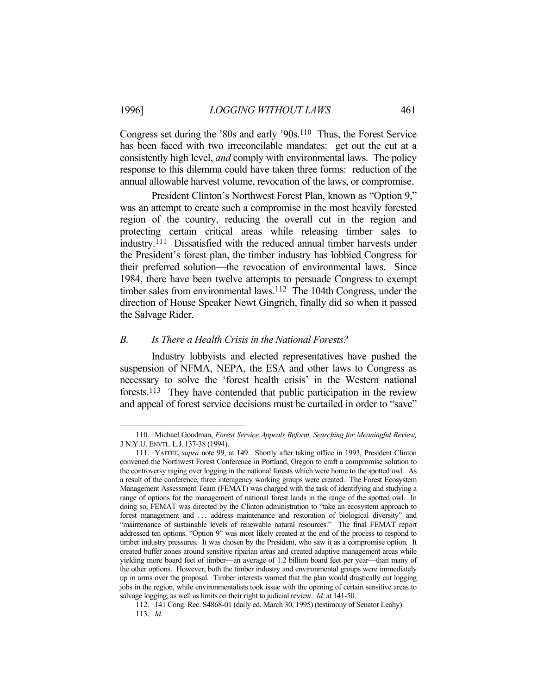Congress set during the '80s and early '90s.110 Thus, the Forest Service has been faced with two irreconcilable mandates: get out the cut at a consistently high level, *and* comply with environmental laws. The policy response to this dilemma could have taken three forms: reduction of the annual allowable harvest volume, revocation of the laws, or compromise.

 President Clinton's Northwest Forest Plan, known as "Option 9," was an attempt to create such a compromise in the most heavily forested region of the country, reducing the overall cut in the region and protecting certain critical areas while releasing timber sales to industry.111 Dissatisfied with the reduced annual timber harvests under the President's forest plan, the timber industry has lobbied Congress for their preferred solution—the revocation of environmental laws. Since 1984, there have been twelve attempts to persuade Congress to exempt timber sales from environmental laws.<sup>112</sup> The 104th Congress, under the direction of House Speaker Newt Gingrich, finally did so when it passed the Salvage Rider.

#### *B. Is There a Health Crisis in the National Forests?*

 Industry lobbyists and elected representatives have pushed the suspension of NFMA, NEPA, the ESA and other laws to Congress as necessary to solve the 'forest health crisis' in the Western national forests.113 They have contended that public participation in the review and appeal of forest service decisions must be curtailed in order to "save"

 <sup>110.</sup> Michael Goodman, *Forest Service Appeals Reform, Searching for Meaningful Review,*  3 N.Y.U. ENVTL.L.J. 137-38 (1994).

 <sup>111.</sup> YAFFEE, *supra* note 99, at 149. Shortly after taking office in 1993, President Clinton convened the Northwest Forest Conference in Portland, Oregon to craft a compromise solution to the controversy raging over logging in the national forests which were home to the spotted owl. As a result of the conference, three interagency working groups were created. The Forest Ecosystem Management Assessment Team (FEMAT) was charged with the task of identifying and studying a range of options for the management of national forest lands in the range of the spotted owl. In doing so, FEMAT was directed by the Clinton administration to "take an ecosystem approach to forest management and . . . address maintenance and restoration of biological diversity" and "maintenance of sustainable levels of renewable natural resources." The final FEMAT report addressed ten options. "Option 9" was most likely created at the end of the process to respond to timber industry pressures. It was chosen by the President, who saw it as a compromise option. It created buffer zones around sensitive riparian areas and created adaptive management areas while yielding more board feet of timber—an average of 1.2 billion board feet per year—than many of the other options. However, both the timber industry and environmental groups were immediately up in arms over the proposal. Timber interests warned that the plan would drastically cut logging jobs in the region, while environmentalists took issue with the opening of certain sensitive areas to salvage logging, as well as limits on their right to judicial review. *Id.* at 141-50.

 <sup>112. 141</sup> Cong. Rec. S4868-01 (daily ed. March 30, 1995) (testimony of Senator Leahy). 113. *Id.*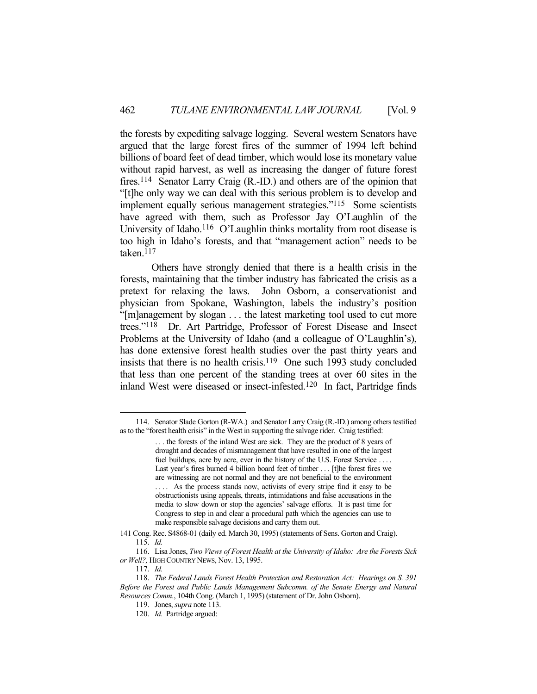the forests by expediting salvage logging. Several western Senators have argued that the large forest fires of the summer of 1994 left behind billions of board feet of dead timber, which would lose its monetary value without rapid harvest, as well as increasing the danger of future forest fires.114 Senator Larry Craig (R.-ID.) and others are of the opinion that "[t]he only way we can deal with this serious problem is to develop and implement equally serious management strategies."115 Some scientists have agreed with them, such as Professor Jay O'Laughlin of the University of Idaho.<sup>116</sup> O'Laughlin thinks mortality from root disease is too high in Idaho's forests, and that "management action" needs to be taken.117

 Others have strongly denied that there is a health crisis in the forests, maintaining that the timber industry has fabricated the crisis as a pretext for relaxing the laws. John Osborn, a conservationist and physician from Spokane, Washington, labels the industry's position "[m]anagement by slogan . . . the latest marketing tool used to cut more trees."118 Dr. Art Partridge, Professor of Forest Disease and Insect Problems at the University of Idaho (and a colleague of O'Laughlin's), has done extensive forest health studies over the past thirty years and insists that there is no health crisis.<sup>119</sup> One such 1993 study concluded that less than one percent of the standing trees at over 60 sites in the inland West were diseased or insect-infested.120 In fact, Partridge finds

 <sup>114.</sup> Senator Slade Gorton (R-WA.) and Senator Larry Craig (R.-ID*.*) among others testified as to the "forest health crisis" in the West in supporting the salvage rider. Craig testified:

<sup>. . .</sup> the forests of the inland West are sick. They are the product of 8 years of drought and decades of mismanagement that have resulted in one of the largest fuel buildups, acre by acre, ever in the history of the U.S. Forest Service .... Last year's fires burned 4 billion board feet of timber . . . [t]he forest fires we are witnessing are not normal and they are not beneficial to the environment .... As the process stands now, activists of every stripe find it easy to be obstructionists using appeals, threats, intimidations and false accusations in the media to slow down or stop the agencies' salvage efforts. It is past time for Congress to step in and clear a procedural path which the agencies can use to make responsible salvage decisions and carry them out.

<sup>141</sup> Cong. Rec. S4868-01 (daily ed. March 30, 1995) (statements of Sens. Gorton and Craig). 115. *Id.*

 <sup>116.</sup> Lisa Jones, *Two Views of Forest Health at the University of Idaho: Are the Forests Sick or Well?,* HIGH COUNTRY NEWS, Nov. 13, 1995.

 <sup>117.</sup> *Id.*

 <sup>118.</sup> *The Federal Lands Forest Health Protection and Restoration Act: Hearings on S. 391 Before the Forest and Public Lands Management Subcomm. of the Senate Energy and Natural Resources Comm.*, 104th Cong. (March 1, 1995) (statement of Dr. John Osborn).

 <sup>119.</sup> Jones, *supra* note 113.

 <sup>120.</sup> *Id.* Partridge argued: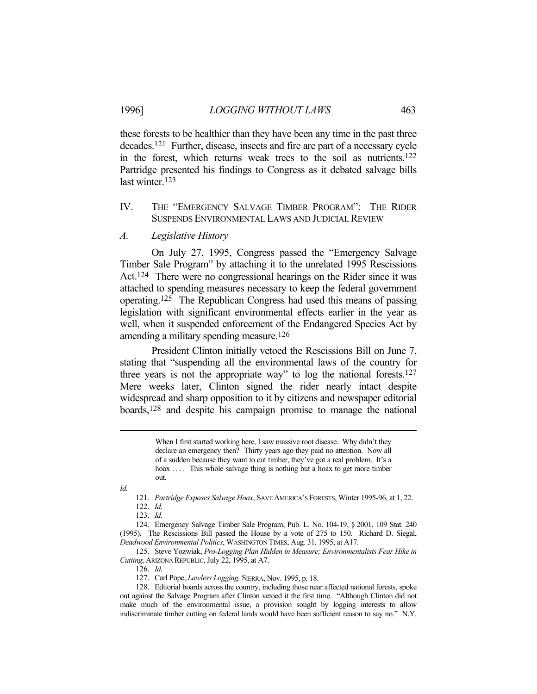these forests to be healthier than they have been any time in the past three decades.121 Further, disease, insects and fire are part of a necessary cycle in the forest, which returns weak trees to the soil as nutrients.122 Partridge presented his findings to Congress as it debated salvage bills last winter.123

# IV. THE "EMERGENCY SALVAGE TIMBER PROGRAM": THE RIDER SUSPENDS ENVIRONMENTAL LAWS AND JUDICIAL REVIEW

# *A. Legislative History*

 On July 27, 1995, Congress passed the "Emergency Salvage Timber Sale Program" by attaching it to the unrelated 1995 Rescissions Act.124 There were no congressional hearings on the Rider since it was attached to spending measures necessary to keep the federal government operating.125 The Republican Congress had used this means of passing legislation with significant environmental effects earlier in the year as well, when it suspended enforcement of the Endangered Species Act by amending a military spending measure.126

 President Clinton initially vetoed the Rescissions Bill on June 7, stating that "suspending all the environmental laws of the country for three years is not the appropriate way" to log the national forests.127 Mere weeks later, Clinton signed the rider nearly intact despite widespread and sharp opposition to it by citizens and newspaper editorial boards,128 and despite his campaign promise to manage the national

> When I first started working here, I saw massive root disease. Why didn't they declare an emergency then? Thirty years ago they paid no attention. Now all of a sudden because they want to cut timber, they've got a real problem. It's a hoax .... This whole salvage thing is nothing but a hoax to get more timber out.

1

 124. Emergency Salvage Timber Sale Program, Pub. L. No. 104-19, § 2001, 109 Stat. 240 (1995). The Rescissions Bill passed the House by a vote of 275 to 150. Richard D. Siegal, *Deadwood Environmental Politics*, WASHINGTON TIMES, Aug. 31, 1995, at A17.

 125. Steve Yozwiak, *Pro-Logging Plan Hidden in Measure; Environmentalists Fear Hike in Cutting*, ARIZONA REPUBLIC, July 22, 1995, at A7.

126. *Id.*

127. Carl Pope, *Lawless Logging,* SIERRA, Nov. 1995, p. 18.

 128. Editorial boards across the country, including those near affected national forests, spoke out against the Salvage Program after Clinton vetoed it the first time. "Although Clinton did not make much of the environmental issue, a provision sought by logging interests to allow indiscriminate timber cutting on federal lands would have been sufficient reason to say no." N.Y.

*Id.*

 <sup>121.</sup> *Partridge Exposes Salvage Hoax*, SAVE AMERICA'S FORESTS, Winter 1995-96, at 1, 22.

 <sup>122.</sup> *Id.*

 <sup>123.</sup> *Id.*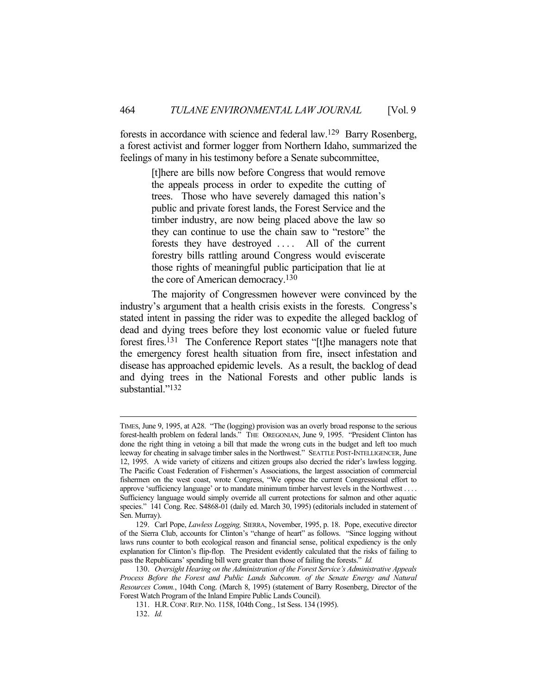forests in accordance with science and federal law.129 Barry Rosenberg, a forest activist and former logger from Northern Idaho, summarized the feelings of many in his testimony before a Senate subcommittee,

> [t]here are bills now before Congress that would remove the appeals process in order to expedite the cutting of trees. Those who have severely damaged this nation's public and private forest lands, the Forest Service and the timber industry, are now being placed above the law so they can continue to use the chain saw to "restore" the forests they have destroyed . . . . All of the current forestry bills rattling around Congress would eviscerate those rights of meaningful public participation that lie at the core of American democracy.130

 The majority of Congressmen however were convinced by the industry's argument that a health crisis exists in the forests. Congress's stated intent in passing the rider was to expedite the alleged backlog of dead and dying trees before they lost economic value or fueled future forest fires.131 The Conference Report states "[t]he managers note that the emergency forest health situation from fire, insect infestation and disease has approached epidemic levels. As a result, the backlog of dead and dying trees in the National Forests and other public lands is substantial."<sup>132</sup>

TIMES, June 9, 1995, at A28. "The (logging) provision was an overly broad response to the serious forest-health problem on federal lands." THE OREGONIAN, June 9, 1995. "President Clinton has done the right thing in vetoing a bill that made the wrong cuts in the budget and left too much leeway for cheating in salvage timber sales in the Northwest." SEATTLE POST-INTELLIGENCER, June 12, 1995. A wide variety of citizens and citizen groups also decried the rider's lawless logging. The Pacific Coast Federation of Fishermen's Associations, the largest association of commercial fishermen on the west coast, wrote Congress, "We oppose the current Congressional effort to approve 'sufficiency language' or to mandate minimum timber harvest levels in the Northwest . . . . Sufficiency language would simply override all current protections for salmon and other aquatic species." 141 Cong. Rec. S4868-01 (daily ed. March 30, 1995) (editorials included in statement of Sen. Murray).

 <sup>129.</sup> Carl Pope, *Lawless Logging,* SIERRA, November, 1995, p. 18. Pope, executive director of the Sierra Club, accounts for Clinton's "change of heart" as follows. "Since logging without laws runs counter to both ecological reason and financial sense, political expediency is the only explanation for Clinton's flip-flop. The President evidently calculated that the risks of failing to pass the Republicans' spending bill were greater than those of failing the forests." *Id.*

 <sup>130.</sup> *Oversight Hearing on the Administration of the Forest Service's Administrative Appeals Process Before the Forest and Public Lands Subcomm. of the Senate Energy and Natural Resources Comm.*, 104th Cong. (March 8, 1995) (statement of Barry Rosenberg, Director of the Forest Watch Program of the Inland Empire Public Lands Council).

 <sup>131.</sup> H.R.CONF.REP.NO. 1158, 104th Cong., 1st Sess. 134 (1995).

 <sup>132.</sup> *Id.*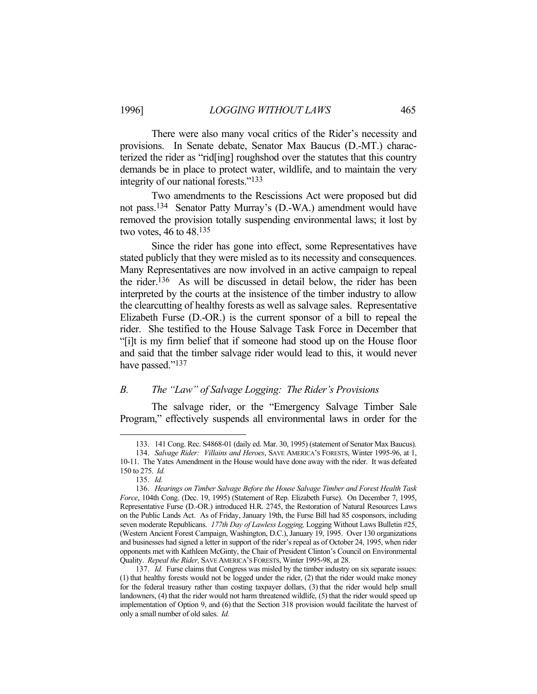There were also many vocal critics of the Rider's necessity and provisions. In Senate debate, Senator Max Baucus (D.-MT.) characterized the rider as "rid[ing] roughshod over the statutes that this country demands be in place to protect water, wildlife, and to maintain the very integrity of our national forests."133

 Two amendments to the Rescissions Act were proposed but did not pass.134 Senator Patty Murray's (D.-WA.) amendment would have removed the provision totally suspending environmental laws; it lost by two votes, 46 to 48.135

 Since the rider has gone into effect, some Representatives have stated publicly that they were misled as to its necessity and consequences. Many Representatives are now involved in an active campaign to repeal the rider.136 As will be discussed in detail below, the rider has been interpreted by the courts at the insistence of the timber industry to allow the clearcutting of healthy forests as well as salvage sales. Representative Elizabeth Furse (D.-OR.) is the current sponsor of a bill to repeal the rider. She testified to the House Salvage Task Force in December that "[i]t is my firm belief that if someone had stood up on the House floor and said that the timber salvage rider would lead to this, it would never have passed."<sup>137</sup>

### *B. The "Law" of Salvage Logging: The Rider's Provisions*

 The salvage rider, or the "Emergency Salvage Timber Sale Program," effectively suspends all environmental laws in order for the

 <sup>133. 141</sup> Cong. Rec. S4868-01 (daily ed. Mar. 30, 1995) (statement of Senator Max Baucus).

 <sup>134.</sup> *Salvage Rider: Villains and Heroes*, SAVE AMERICA'S FORESTS, Winter 1995-96, at 1, 10-11. The Yates Amendment in the House would have done away with the rider. It was defeated 150 to 275. *Id.*

 <sup>135.</sup> *Id.*

 <sup>136.</sup> *Hearings on Timber Salvage Before the House Salvage Timber and Forest Health Task Force*, 104th Cong. (Dec. 19, 1995) (Statement of Rep. Elizabeth Furse). On December 7, 1995, Representative Furse (D.-OR.) introduced H.R. 2745, the Restoration of Natural Resources Laws on the Public Lands Act. As of Friday, January 19th, the Furse Bill had 85 cosponsors, including seven moderate Republicans. *177th Day of Lawless Logging,* Logging Without Laws Bulletin #25, (Western Ancient Forest Campaign, Washington, D.C.), January 19, 1995. Over 130 organizations and businesses had signed a letter in support of the rider's repeal as of October 24, 1995, when rider opponents met with Kathleen McGinty, the Chair of President Clinton's Council on Environmental Quality. *Repeal the Rider,* SAVE AMERICA'S FORESTS, Winter 1995-98, at 28.

 <sup>137.</sup> *Id.* Furse claims that Congress was misled by the timber industry on six separate issues: (1) that healthy forests would not be logged under the rider, (2) that the rider would make money for the federal treasury rather than costing taxpayer dollars, (3) that the rider would help small landowners, (4) that the rider would not harm threatened wildlife, (5) that the rider would speed up implementation of Option 9, and (6) that the Section 318 provision would facilitate the harvest of only a small number of old sales. *Id.*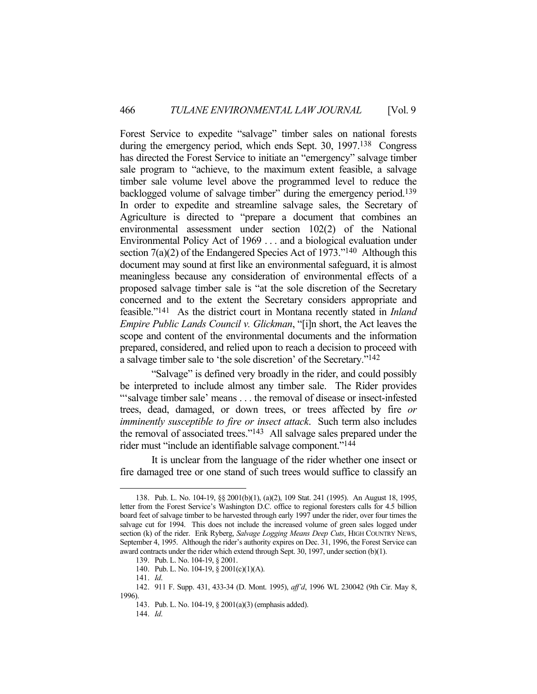Forest Service to expedite "salvage" timber sales on national forests during the emergency period, which ends Sept. 30, 1997.138 Congress has directed the Forest Service to initiate an "emergency" salvage timber sale program to "achieve, to the maximum extent feasible, a salvage timber sale volume level above the programmed level to reduce the backlogged volume of salvage timber" during the emergency period.139 In order to expedite and streamline salvage sales, the Secretary of Agriculture is directed to "prepare a document that combines an environmental assessment under section 102(2) of the National Environmental Policy Act of 1969 . . . and a biological evaluation under section  $7(a)(2)$  of the Endangered Species Act of 1973."<sup>140</sup> Although this document may sound at first like an environmental safeguard, it is almost meaningless because any consideration of environmental effects of a proposed salvage timber sale is "at the sole discretion of the Secretary concerned and to the extent the Secretary considers appropriate and feasible."141 As the district court in Montana recently stated in *Inland Empire Public Lands Council v. Glickman*, "[i]n short, the Act leaves the scope and content of the environmental documents and the information prepared, considered, and relied upon to reach a decision to proceed with a salvage timber sale to 'the sole discretion' of the Secretary."142

 "Salvage" is defined very broadly in the rider, and could possibly be interpreted to include almost any timber sale. The Rider provides "'salvage timber sale' means . . . the removal of disease or insect-infested trees, dead, damaged, or down trees, or trees affected by fire *or imminently susceptible to fire or insect attack*. Such term also includes the removal of associated trees."143 All salvage sales prepared under the rider must "include an identifiable salvage component."144

 It is unclear from the language of the rider whether one insect or fire damaged tree or one stand of such trees would suffice to classify an

141. *Id*.

 <sup>138.</sup> Pub. L. No. 104-19, §§ 2001(b)(1), (a)(2), 109 Stat. 241 (1995). An August 18, 1995, letter from the Forest Service's Washington D.C. office to regional foresters calls for 4.5 billion board feet of salvage timber to be harvested through early 1997 under the rider, over four times the salvage cut for 1994. This does not include the increased volume of green sales logged under section (k) of the rider. Erik Ryberg, *Salvage Logging Means Deep Cuts*, HIGH COUNTRY NEWS, September 4, 1995. Although the rider's authority expires on Dec. 31, 1996, the Forest Service can award contracts under the rider which extend through Sept. 30, 1997, under section (b)(1).

 <sup>139.</sup> Pub. L. No. 104-19, § 2001.

 <sup>140.</sup> Pub. L. No. 104-19, § 2001(c)(1)(A).

 <sup>142. 911</sup> F. Supp. 431, 433-34 (D. Mont. 1995), *aff'd*, 1996 WL 230042 (9th Cir. May 8, 1996).

 <sup>143.</sup> Pub. L. No. 104-19, § 2001(a)(3) (emphasis added).

 <sup>144.</sup> *Id*.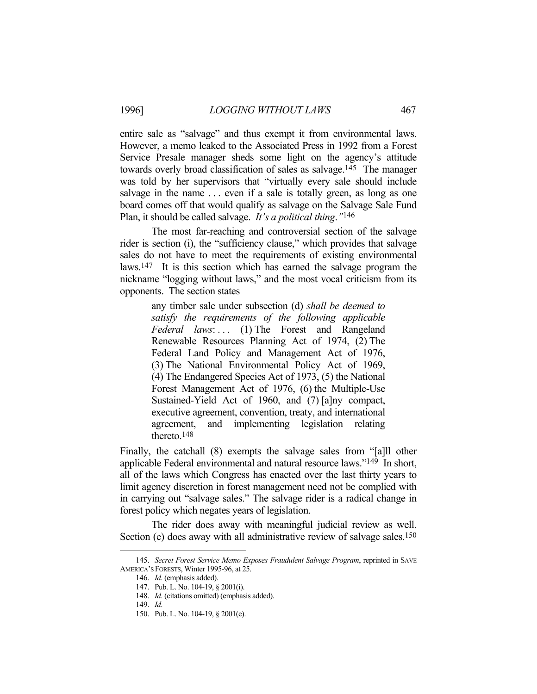entire sale as "salvage" and thus exempt it from environmental laws. However, a memo leaked to the Associated Press in 1992 from a Forest Service Presale manager sheds some light on the agency's attitude towards overly broad classification of sales as salvage.145 The manager was told by her supervisors that "virtually every sale should include salvage in the name ... even if a sale is totally green, as long as one board comes off that would qualify as salvage on the Salvage Sale Fund Plan, it should be called salvage. *It's a political thing*.*"*146

 The most far-reaching and controversial section of the salvage rider is section (i), the "sufficiency clause," which provides that salvage sales do not have to meet the requirements of existing environmental laws.147 It is this section which has earned the salvage program the nickname "logging without laws," and the most vocal criticism from its opponents. The section states

> any timber sale under subsection (d) *shall be deemed to satisfy the requirements of the following applicable Federal laws*: . . . (1) The Forest and Rangeland Renewable Resources Planning Act of 1974, (2) The Federal Land Policy and Management Act of 1976, (3) The National Environmental Policy Act of 1969, (4) The Endangered Species Act of 1973, (5) the National Forest Management Act of 1976, (6) the Multiple-Use Sustained-Yield Act of 1960, and (7) [a]ny compact, executive agreement, convention, treaty, and international agreement, and implementing legislation relating thereto.148

Finally, the catchall (8) exempts the salvage sales from "[a]ll other applicable Federal environmental and natural resource laws."149 In short, all of the laws which Congress has enacted over the last thirty years to limit agency discretion in forest management need not be complied with in carrying out "salvage sales." The salvage rider is a radical change in forest policy which negates years of legislation.

 The rider does away with meaningful judicial review as well. Section (e) does away with all administrative review of salvage sales.<sup>150</sup>

 <sup>145.</sup> *Secret Forest Service Memo Exposes Fraudulent Salvage Program*, reprinted in SAVE AMERICA'S FORESTS, Winter 1995-96, at 25.

 <sup>146.</sup> *Id.* (emphasis added).

 <sup>147.</sup> Pub. L. No. 104-19, § 2001(i).

 <sup>148.</sup> *Id.* (citations omitted) (emphasis added).

 <sup>149.</sup> *Id*.

 <sup>150.</sup> Pub. L. No. 104-19, § 2001(e).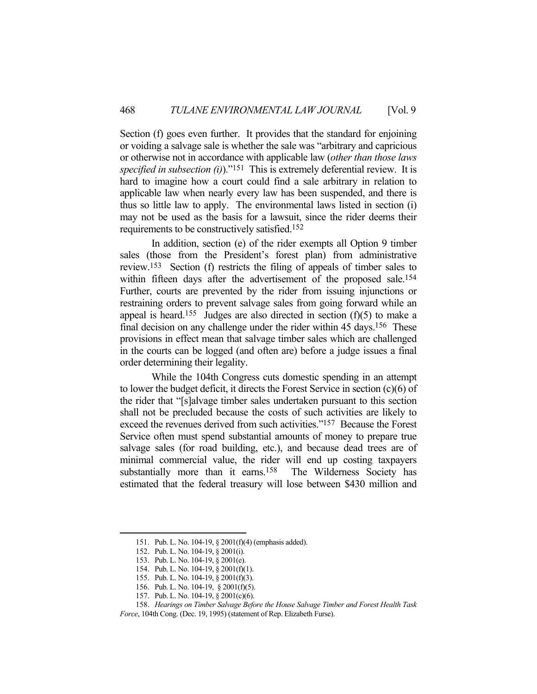Section (f) goes even further. It provides that the standard for enjoining or voiding a salvage sale is whether the sale was "arbitrary and capricious or otherwise not in accordance with applicable law (*other than those laws specified in subsection (i)*)."151 This is extremely deferential review. It is hard to imagine how a court could find a sale arbitrary in relation to applicable law when nearly every law has been suspended, and there is thus so little law to apply. The environmental laws listed in section (i) may not be used as the basis for a lawsuit, since the rider deems their requirements to be constructively satisfied.152

 In addition, section (e) of the rider exempts all Option 9 timber sales (those from the President's forest plan) from administrative review.153 Section (f) restricts the filing of appeals of timber sales to within fifteen days after the advertisement of the proposed sale.<sup>154</sup> Further, courts are prevented by the rider from issuing injunctions or restraining orders to prevent salvage sales from going forward while an appeal is heard.<sup>155</sup> Judges are also directed in section  $(f)(5)$  to make a final decision on any challenge under the rider within 45 days.<sup>156</sup> These provisions in effect mean that salvage timber sales which are challenged in the courts can be logged (and often are) before a judge issues a final order determining their legality.

 While the 104th Congress cuts domestic spending in an attempt to lower the budget deficit, it directs the Forest Service in section (c)(6) of the rider that "[s]alvage timber sales undertaken pursuant to this section shall not be precluded because the costs of such activities are likely to exceed the revenues derived from such activities."157 Because the Forest Service often must spend substantial amounts of money to prepare true salvage sales (for road building, etc.), and because dead trees are of minimal commercial value, the rider will end up costing taxpayers substantially more than it earns.<sup>158</sup> The Wilderness Society has estimated that the federal treasury will lose between \$430 million and

 <sup>151.</sup> Pub. L. No. 104-19, § 2001(f)(4) (emphasis added).

 <sup>152.</sup> Pub. L. No. 104-19, § 2001(i).

 <sup>153.</sup> Pub. L. No. 104-19, § 2001(e).

 <sup>154.</sup> Pub. L. No. 104-19, § 2001(f)(1).

 <sup>155.</sup> Pub. L. No. 104-19, § 2001(f)(3).

 <sup>156.</sup> Pub. L. No. 104-19, § 2001(f)(5).

 <sup>157.</sup> Pub. L. No. 104-19, § 2001(c)(6).

 <sup>158.</sup> *Hearings on Timber Salvage Before the House Salvage Timber and Forest Health Task* 

*Force*, 104th Cong. (Dec. 19, 1995) (statement of Rep. Elizabeth Furse).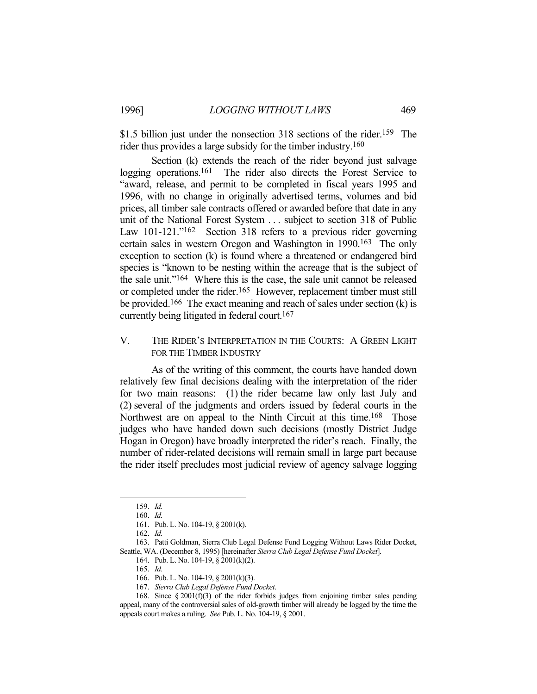\$1.5 billion just under the nonsection 318 sections of the rider.<sup>159</sup> The rider thus provides a large subsidy for the timber industry.160

 Section (k) extends the reach of the rider beyond just salvage logging operations.<sup>161</sup> The rider also directs the Forest Service to "award, release, and permit to be completed in fiscal years 1995 and 1996, with no change in originally advertised terms, volumes and bid prices, all timber sale contracts offered or awarded before that date in any unit of the National Forest System . . . subject to section 318 of Public Law 101-121."<sup>162</sup> Section 318 refers to a previous rider governing certain sales in western Oregon and Washington in 1990.163 The only exception to section (k) is found where a threatened or endangered bird species is "known to be nesting within the acreage that is the subject of the sale unit."164 Where this is the case, the sale unit cannot be released or completed under the rider.165 However, replacement timber must still be provided.<sup>166</sup> The exact meaning and reach of sales under section  $(k)$  is currently being litigated in federal court.167

# V. THE RIDER'S INTERPRETATION IN THE COURTS: A GREEN LIGHT FOR THE TIMBER INDUSTRY

 As of the writing of this comment, the courts have handed down relatively few final decisions dealing with the interpretation of the rider for two main reasons: (1) the rider became law only last July and (2) several of the judgments and orders issued by federal courts in the Northwest are on appeal to the Ninth Circuit at this time.<sup>168</sup> Those judges who have handed down such decisions (mostly District Judge Hogan in Oregon) have broadly interpreted the rider's reach. Finally, the number of rider-related decisions will remain small in large part because the rider itself precludes most judicial review of agency salvage logging

<u>.</u>

 163. Patti Goldman, Sierra Club Legal Defense Fund Logging Without Laws Rider Docket, Seattle, WA. (December 8, 1995) [hereinafter *Sierra Club Legal Defense Fund Docket*].

 <sup>159.</sup> *Id.*

 <sup>160.</sup> *Id.*

 <sup>161.</sup> Pub. L. No. 104-19, § 2001(k).

 <sup>162.</sup> *Id.*

 <sup>164.</sup> Pub. L. No. 104-19, § 2001(k)(2).

 <sup>165.</sup> *Id.*

 <sup>166.</sup> Pub. L. No. 104-19, § 2001(k)(3).

 <sup>167.</sup> *Sierra Club Legal Defense Fund Docket*.

<sup>168.</sup> Since  $\S 2001(f)(3)$  of the rider forbids judges from enjoining timber sales pending appeal, many of the controversial sales of old-growth timber will already be logged by the time the appeals court makes a ruling. *See* Pub. L. No. 104-19, § 2001.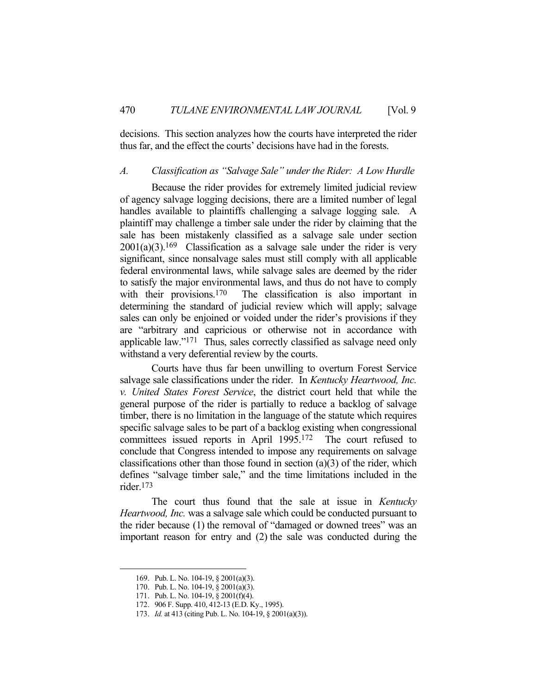decisions. This section analyzes how the courts have interpreted the rider thus far, and the effect the courts' decisions have had in the forests.

# *A. Classification as "Salvage Sale" under the Rider: A Low Hurdle*

 Because the rider provides for extremely limited judicial review of agency salvage logging decisions, there are a limited number of legal handles available to plaintiffs challenging a salvage logging sale. A plaintiff may challenge a timber sale under the rider by claiming that the sale has been mistakenly classified as a salvage sale under section  $2001(a)(3).169$  Classification as a salvage sale under the rider is very significant, since nonsalvage sales must still comply with all applicable federal environmental laws, while salvage sales are deemed by the rider to satisfy the major environmental laws, and thus do not have to comply with their provisions.<sup>170</sup> The classification is also important in determining the standard of judicial review which will apply; salvage sales can only be enjoined or voided under the rider's provisions if they are "arbitrary and capricious or otherwise not in accordance with applicable law."171 Thus, sales correctly classified as salvage need only withstand a very deferential review by the courts.

 Courts have thus far been unwilling to overturn Forest Service salvage sale classifications under the rider. In *Kentucky Heartwood, Inc. v. United States Forest Service*, the district court held that while the general purpose of the rider is partially to reduce a backlog of salvage timber, there is no limitation in the language of the statute which requires specific salvage sales to be part of a backlog existing when congressional committees issued reports in April 1995.172 The court refused to conclude that Congress intended to impose any requirements on salvage classifications other than those found in section  $(a)(3)$  of the rider, which defines "salvage timber sale," and the time limitations included in the rider.173

 The court thus found that the sale at issue in *Kentucky Heartwood, Inc.* was a salvage sale which could be conducted pursuant to the rider because (1) the removal of "damaged or downed trees" was an important reason for entry and (2) the sale was conducted during the

 <sup>169.</sup> Pub. L. No. 104-19, § 2001(a)(3).

 <sup>170.</sup> Pub. L. No. 104-19, § 2001(a)(3).

 <sup>171.</sup> Pub. L. No. 104-19, § 2001(f)(4).

 <sup>172. 906</sup> F. Supp. 410, 412-13 (E.D. Ky., 1995).

 <sup>173.</sup> *Id.* at 413 (citing Pub. L. No. 104-19, § 2001(a)(3)).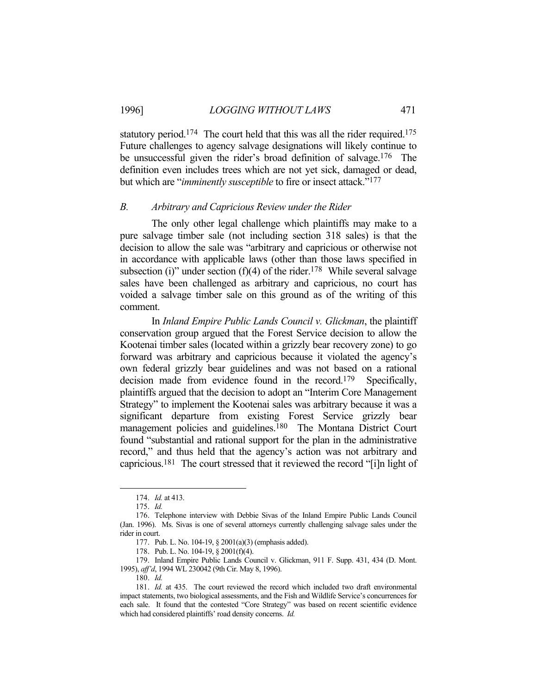# 1996] *LOGGING WITHOUT LAWS* 471

statutory period.<sup>174</sup> The court held that this was all the rider required.<sup>175</sup> Future challenges to agency salvage designations will likely continue to be unsuccessful given the rider's broad definition of salvage.176 The definition even includes trees which are not yet sick, damaged or dead, but which are "*imminently susceptible* to fire or insect attack."177

#### *B. Arbitrary and Capricious Review under the Rider*

 The only other legal challenge which plaintiffs may make to a pure salvage timber sale (not including section 318 sales) is that the decision to allow the sale was "arbitrary and capricious or otherwise not in accordance with applicable laws (other than those laws specified in subsection (i)" under section (f)(4) of the rider.<sup>178</sup> While several salvage sales have been challenged as arbitrary and capricious, no court has voided a salvage timber sale on this ground as of the writing of this comment.

 In *Inland Empire Public Lands Council v. Glickman*, the plaintiff conservation group argued that the Forest Service decision to allow the Kootenai timber sales (located within a grizzly bear recovery zone) to go forward was arbitrary and capricious because it violated the agency's own federal grizzly bear guidelines and was not based on a rational decision made from evidence found in the record.<sup>179</sup> Specifically, plaintiffs argued that the decision to adopt an "Interim Core Management Strategy" to implement the Kootenai sales was arbitrary because it was a significant departure from existing Forest Service grizzly bear management policies and guidelines.<sup>180</sup> The Montana District Court found "substantial and rational support for the plan in the administrative record," and thus held that the agency's action was not arbitrary and capricious.181 The court stressed that it reviewed the record "[i]n light of

 <sup>174.</sup> *Id.* at 413.

 <sup>175.</sup> *Id.*

 <sup>176.</sup> Telephone interview with Debbie Sivas of the Inland Empire Public Lands Council (Jan. 1996). Ms. Sivas is one of several attorneys currently challenging salvage sales under the rider in court.

 <sup>177.</sup> Pub. L. No. 104-19, § 2001(a)(3) (emphasis added).

 <sup>178.</sup> Pub. L. No. 104-19, § 2001(f)(4).

 <sup>179.</sup> Inland Empire Public Lands Council v. Glickman, 911 F. Supp. 431, 434 (D. Mont. 1995), *aff'd*, 1994 WL 230042 (9th Cir. May 8, 1996).

 <sup>180.</sup> *Id.*

 <sup>181.</sup> *Id.* at 435. The court reviewed the record which included two draft environmental impact statements, two biological assessments, and the Fish and Wildlife Service's concurrences for each sale. It found that the contested "Core Strategy" was based on recent scientific evidence which had considered plaintiffs' road density concerns. *Id.*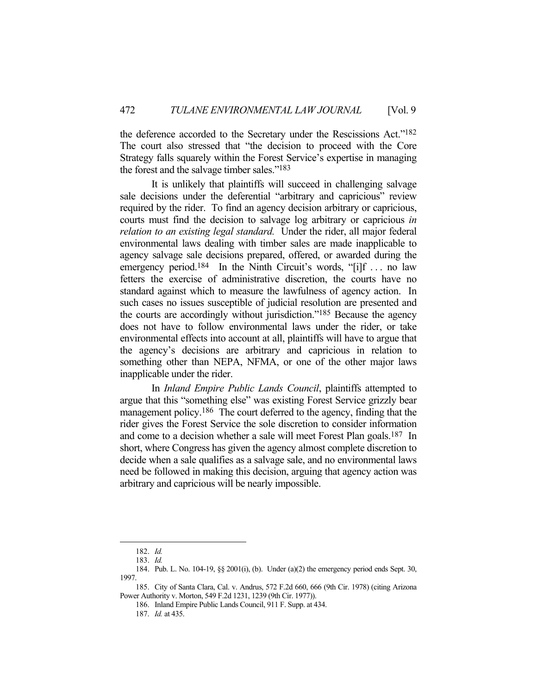the deference accorded to the Secretary under the Rescissions Act."182 The court also stressed that "the decision to proceed with the Core Strategy falls squarely within the Forest Service's expertise in managing the forest and the salvage timber sales."183

 It is unlikely that plaintiffs will succeed in challenging salvage sale decisions under the deferential "arbitrary and capricious" review required by the rider. To find an agency decision arbitrary or capricious, courts must find the decision to salvage log arbitrary or capricious *in relation to an existing legal standard.* Under the rider, all major federal environmental laws dealing with timber sales are made inapplicable to agency salvage sale decisions prepared, offered, or awarded during the emergency period.<sup>184</sup> In the Ninth Circuit's words, "[i]f ... no law fetters the exercise of administrative discretion, the courts have no standard against which to measure the lawfulness of agency action. In such cases no issues susceptible of judicial resolution are presented and the courts are accordingly without jurisdiction."185 Because the agency does not have to follow environmental laws under the rider, or take environmental effects into account at all, plaintiffs will have to argue that the agency's decisions are arbitrary and capricious in relation to something other than NEPA, NFMA, or one of the other major laws inapplicable under the rider.

 In *Inland Empire Public Lands Council*, plaintiffs attempted to argue that this "something else" was existing Forest Service grizzly bear management policy.<sup>186</sup> The court deferred to the agency, finding that the rider gives the Forest Service the sole discretion to consider information and come to a decision whether a sale will meet Forest Plan goals.187 In short, where Congress has given the agency almost complete discretion to decide when a sale qualifies as a salvage sale, and no environmental laws need be followed in making this decision, arguing that agency action was arbitrary and capricious will be nearly impossible.

 <sup>182.</sup> *Id.*

 <sup>183.</sup> *Id.*

 <sup>184.</sup> Pub. L. No. 104-19, §§ 2001(i), (b). Under (a)(2) the emergency period ends Sept. 30, 1997.

 <sup>185.</sup> City of Santa Clara, Cal. v. Andrus, 572 F.2d 660, 666 (9th Cir. 1978) (citing Arizona Power Authority v. Morton, 549 F.2d 1231, 1239 (9th Cir. 1977)).

 <sup>186.</sup> Inland Empire Public Lands Council, 911 F. Supp. at 434.

 <sup>187.</sup> *Id.* at 435.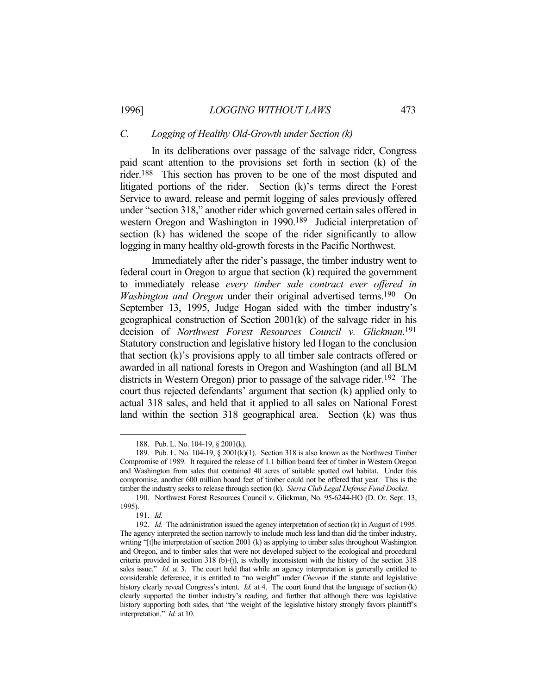#### *C. Logging of Healthy Old-Growth under Section (k)*

 In its deliberations over passage of the salvage rider, Congress paid scant attention to the provisions set forth in section (k) of the rider.188 This section has proven to be one of the most disputed and litigated portions of the rider. Section (k)'s terms direct the Forest Service to award, release and permit logging of sales previously offered under "section 318," another rider which governed certain sales offered in western Oregon and Washington in 1990.189 Judicial interpretation of section (k) has widened the scope of the rider significantly to allow logging in many healthy old-growth forests in the Pacific Northwest.

 Immediately after the rider's passage, the timber industry went to federal court in Oregon to argue that section (k) required the government to immediately release *every timber sale contract ever offered in Washington and Oregon* under their original advertised terms.<sup>190</sup> On September 13, 1995, Judge Hogan sided with the timber industry's geographical construction of Section 2001(k) of the salvage rider in his decision of *Northwest Forest Resources Council v. Glickman*. 191 Statutory construction and legislative history led Hogan to the conclusion that section (k)'s provisions apply to all timber sale contracts offered or awarded in all national forests in Oregon and Washington (and all BLM districts in Western Oregon) prior to passage of the salvage rider.<sup>192</sup> The court thus rejected defendants' argument that section (k) applied only to actual 318 sales, and held that it applied to all sales on National Forest land within the section 318 geographical area. Section (k) was thus

 <sup>188.</sup> Pub. L. No. 104-19, § 2001(k).

<sup>189.</sup> Pub. L. No. 104-19,  $\S 2001(k)(1)$ . Section 318 is also known as the Northwest Timber Compromise of 1989. It required the release of 1.1 billion board feet of timber in Western Oregon and Washington from sales that contained 40 acres of suitable spotted owl habitat. Under this compromise, another 600 million board feet of timber could not be offered that year. This is the timber the industry seeks to release through section (k). *Sierra Club Legal Defense Fund Docket*.

 <sup>190.</sup> Northwest Forest Resources Council v. Glickman, No. 95-6244-HO (D. Or. Sept. 13, 1995).

 <sup>191.</sup> *Id.*

 <sup>192.</sup> *Id.* The administration issued the agency interpretation of section (k) in August of 1995. The agency interpreted the section narrowly to include much less land than did the timber industry, writing "[t]he interpretation of section 2001 (k) as applying to timber sales throughout Washington and Oregon, and to timber sales that were not developed subject to the ecological and procedural criteria provided in section 318 (b)-(j), is wholly inconsistent with the history of the section 318 sales issue." *Id.* at 3. The court held that while an agency interpretation is generally entitled to considerable deference, it is entitled to "no weight" under *Chevron* if the statute and legislative history clearly reveal Congress's intent. *Id.* at 4. The court found that the language of section (k) clearly supported the timber industry's reading, and further that although there was legislative history supporting both sides, that "the weight of the legislative history strongly favors plaintiff's interpretation." *Id.* at 10.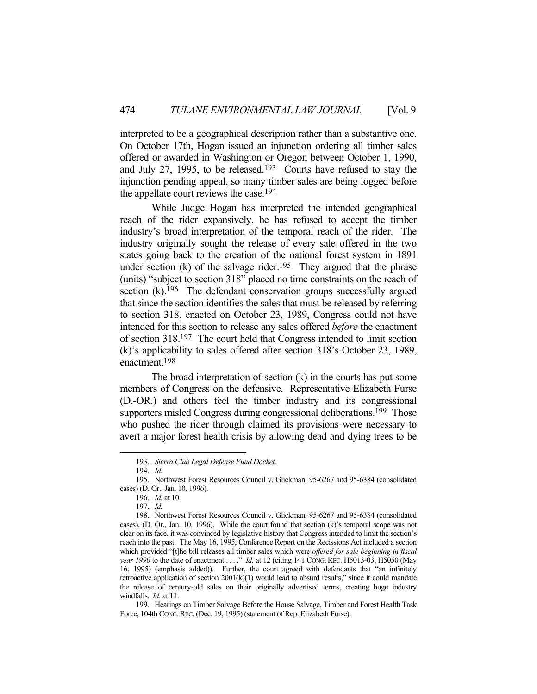interpreted to be a geographical description rather than a substantive one. On October 17th, Hogan issued an injunction ordering all timber sales offered or awarded in Washington or Oregon between October 1, 1990, and July 27, 1995, to be released.193 Courts have refused to stay the injunction pending appeal, so many timber sales are being logged before the appellate court reviews the case.194

 While Judge Hogan has interpreted the intended geographical reach of the rider expansively, he has refused to accept the timber industry's broad interpretation of the temporal reach of the rider. The industry originally sought the release of every sale offered in the two states going back to the creation of the national forest system in 1891 under section  $(k)$  of the salvage rider.<sup>195</sup> They argued that the phrase (units) "subject to section 318" placed no time constraints on the reach of section (k).<sup>196</sup> The defendant conservation groups successfully argued that since the section identifies the sales that must be released by referring to section 318, enacted on October 23, 1989, Congress could not have intended for this section to release any sales offered *before* the enactment of section 318.197 The court held that Congress intended to limit section (k)'s applicability to sales offered after section 318's October 23, 1989, enactment.198

 The broad interpretation of section (k) in the courts has put some members of Congress on the defensive. Representative Elizabeth Furse (D.-OR.) and others feel the timber industry and its congressional supporters misled Congress during congressional deliberations.<sup>199</sup> Those who pushed the rider through claimed its provisions were necessary to avert a major forest health crisis by allowing dead and dying trees to be

 <sup>193.</sup> *Sierra Club Legal Defense Fund Docket*.

 <sup>194.</sup> *Id.*

 <sup>195.</sup> Northwest Forest Resources Council v. Glickman, 95-6267 and 95-6384 (consolidated cases) (D. Or., Jan. 10, 1996).

 <sup>196.</sup> *Id.* at 10.

 <sup>197.</sup> *Id.*

 <sup>198.</sup> Northwest Forest Resources Council v. Glickman, 95-6267 and 95-6384 (consolidated cases), (D. Or., Jan. 10, 1996). While the court found that section (k)'s temporal scope was not clear on its face, it was convinced by legislative history that Congress intended to limit the section's reach into the past. The May 16, 1995, Conference Report on the Recissions Act included a section which provided "[t]he bill releases all timber sales which were *offered for sale beginning in fiscal year 1990* to the date of enactment . . . ." *Id.* at 12 (citing 141 CONG. REC. H5013-03, H5050 (May 16, 1995) (emphasis added)). Further, the court agreed with defendants that "an infinitely retroactive application of section  $2001(k)(1)$  would lead to absurd results," since it could mandate the release of century-old sales on their originally advertised terms, creating huge industry windfalls. *Id.* at 11.

 <sup>199.</sup> Hearings on Timber Salvage Before the House Salvage, Timber and Forest Health Task Force, 104th CONG. REC. (Dec. 19, 1995) (statement of Rep. Elizabeth Furse).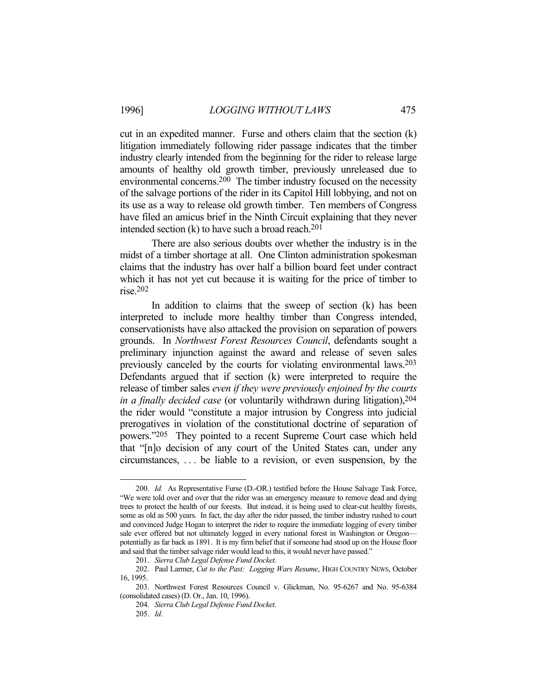cut in an expedited manner. Furse and others claim that the section (k) litigation immediately following rider passage indicates that the timber industry clearly intended from the beginning for the rider to release large amounts of healthy old growth timber, previously unreleased due to environmental concerns.200 The timber industry focused on the necessity of the salvage portions of the rider in its Capitol Hill lobbying, and not on its use as a way to release old growth timber. Ten members of Congress have filed an amicus brief in the Ninth Circuit explaining that they never intended section (k) to have such a broad reach.<sup>201</sup>

 There are also serious doubts over whether the industry is in the midst of a timber shortage at all. One Clinton administration spokesman claims that the industry has over half a billion board feet under contract which it has not yet cut because it is waiting for the price of timber to rise.202

In addition to claims that the sweep of section  $(k)$  has been interpreted to include more healthy timber than Congress intended, conservationists have also attacked the provision on separation of powers grounds. In *Northwest Forest Resources Council*, defendants sought a preliminary injunction against the award and release of seven sales previously canceled by the courts for violating environmental laws.203 Defendants argued that if section (k) were interpreted to require the release of timber sales *even if they were previously enjoined by the courts in a finally decided case* (or voluntarily withdrawn during litigation),204 the rider would "constitute a major intrusion by Congress into judicial prerogatives in violation of the constitutional doctrine of separation of powers."205 They pointed to a recent Supreme Court case which held that "[n]o decision of any court of the United States can, under any circumstances, . . . be liable to a revision, or even suspension, by the

 <sup>200.</sup> *Id.* As Representative Furse (D.-OR.) testified before the House Salvage Task Force, "We were told over and over that the rider was an emergency measure to remove dead and dying trees to protect the health of our forests. But instead, it is being used to clear-cut healthy forests, some as old as 500 years. In fact, the day after the rider passed, the timber industry rushed to court and convinced Judge Hogan to interpret the rider to require the immediate logging of every timber sale ever offered but not ultimately logged in every national forest in Washington or Oregon potentially as far back as 1891. It is my firm belief that if someone had stood up on the House floor and said that the timber salvage rider would lead to this, it would never have passed."

 <sup>201.</sup> *Sierra Club Legal Defense Fund Docket*.

 <sup>202.</sup> Paul Larmer, *Cut to the Past: Logging Wars Resume*, HIGH COUNTRY NEWS, October 16, 1995.

 <sup>203.</sup> Northwest Forest Resources Council v. Glickman, No. 95-6267 and No. 95-6384 (consolidated cases) (D. Or., Jan. 10, 1996).

 <sup>204.</sup> *Sierra Club Legal Defense Fund Docket*.

 <sup>205.</sup> *Id*.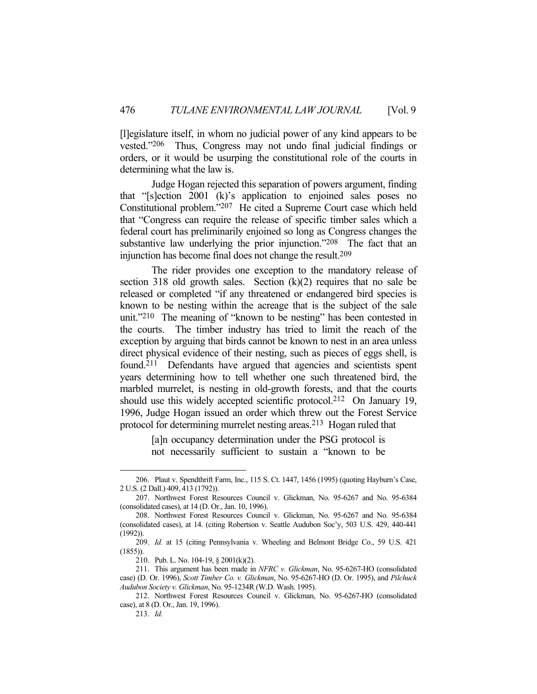[l]egislature itself, in whom no judicial power of any kind appears to be vested."206 Thus, Congress may not undo final judicial findings or orders, or it would be usurping the constitutional role of the courts in determining what the law is.

 Judge Hogan rejected this separation of powers argument, finding that "[s]ection 2001 (k)'s application to enjoined sales poses no Constitutional problem."207 He cited a Supreme Court case which held that "Congress can require the release of specific timber sales which a federal court has preliminarily enjoined so long as Congress changes the substantive law underlying the prior injunction."<sup>208</sup> The fact that an injunction has become final does not change the result.209

 The rider provides one exception to the mandatory release of section 318 old growth sales. Section  $(k)(2)$  requires that no sale be released or completed "if any threatened or endangered bird species is known to be nesting within the acreage that is the subject of the sale unit."<sup>210</sup> The meaning of "known to be nesting" has been contested in the courts. The timber industry has tried to limit the reach of the exception by arguing that birds cannot be known to nest in an area unless direct physical evidence of their nesting, such as pieces of eggs shell, is found.<sup>211</sup> Defendants have argued that agencies and scientists spent years determining how to tell whether one such threatened bird, the marbled murrelet, is nesting in old-growth forests, and that the courts should use this widely accepted scientific protocol.<sup>212</sup> On January 19, 1996, Judge Hogan issued an order which threw out the Forest Service protocol for determining murrelet nesting areas.213 Hogan ruled that

> [a]n occupancy determination under the PSG protocol is not necessarily sufficient to sustain a "known to be

 <sup>206.</sup> Plaut v. Spendthrift Farm, Inc., 115 S. Ct. 1447, 1456 (1995) (quoting Hayburn's Case, 2 U.S. (2 Dall.) 409, 413 (1792)).

 <sup>207.</sup> Northwest Forest Resources Council v. Glickman, No. 95-6267 and No. 95-6384 (consolidated cases), at 14 (D. Or., Jan. 10, 1996).

 <sup>208.</sup> Northwest Forest Resources Council v. Glickman, No. 95-6267 and No. 95-6384 (consolidated cases), at 14. (citing Robertson v. Seattle Audubon Soc'y, 503 U.S. 429, 440-441 (1992)).

 <sup>209.</sup> *Id.* at 15 (citing Pennsylvania v. Wheeling and Belmont Bridge Co., 59 U.S. 421 (1855)).

 <sup>210.</sup> Pub. L. No. 104-19, § 2001(k)(2).

 <sup>211.</sup> This argument has been made in *NFRC v. Glickman*, No. 95-6267-HO (consolidated case) (D. Or. 1996), *Scott Timber Co. v. Glickman*, No. 95-6267-HO (D. Or. 1995), and *Pilchuck Audubon Society v. Glickman*, No. 95-1234R (W.D. Wash. 1995).

 <sup>212.</sup> Northwest Forest Resources Council v. Glickman, No. 95-6267-HO (consolidated case), at 8 (D. Or., Jan. 19, 1996).

 <sup>213.</sup> *Id.*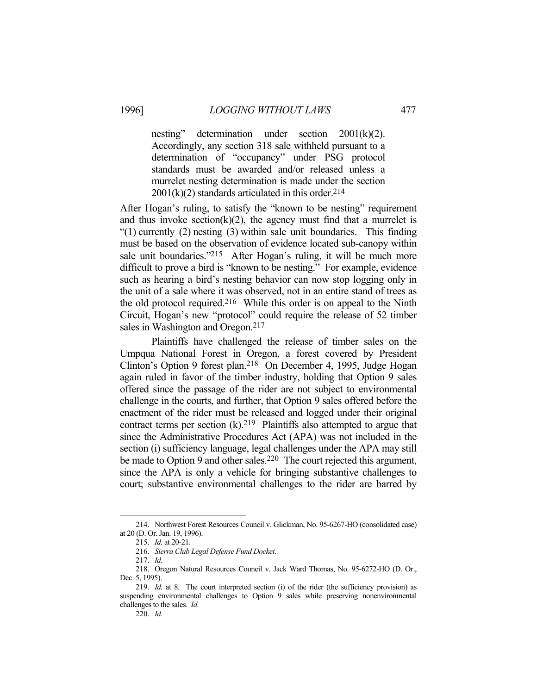nesting" determination under section 2001(k)(2). Accordingly, any section 318 sale withheld pursuant to a determination of "occupancy" under PSG protocol standards must be awarded and/or released unless a murrelet nesting determination is made under the section  $2001(k)(2)$  standards articulated in this order.<sup>214</sup>

After Hogan's ruling, to satisfy the "known to be nesting" requirement and thus invoke section( $k(2)$ , the agency must find that a murrelet is "(1) currently (2) nesting (3) within sale unit boundaries. This finding must be based on the observation of evidence located sub-canopy within sale unit boundaries."<sup>215</sup> After Hogan's ruling, it will be much more difficult to prove a bird is "known to be nesting." For example, evidence such as hearing a bird's nesting behavior can now stop logging only in the unit of a sale where it was observed, not in an entire stand of trees as the old protocol required.216 While this order is on appeal to the Ninth Circuit, Hogan's new "protocol" could require the release of 52 timber sales in Washington and Oregon.<sup>217</sup>

 Plaintiffs have challenged the release of timber sales on the Umpqua National Forest in Oregon, a forest covered by President Clinton's Option 9 forest plan.218 On December 4, 1995, Judge Hogan again ruled in favor of the timber industry, holding that Option 9 sales offered since the passage of the rider are not subject to environmental challenge in the courts, and further, that Option 9 sales offered before the enactment of the rider must be released and logged under their original contract terms per section  $(k)$ .<sup>219</sup> Plaintiffs also attempted to argue that since the Administrative Procedures Act (APA) was not included in the section (i) sufficiency language, legal challenges under the APA may still be made to Option 9 and other sales.<sup>220</sup> The court rejected this argument, since the APA is only a vehicle for bringing substantive challenges to court; substantive environmental challenges to the rider are barred by

 <sup>214.</sup> Northwest Forest Resources Council v. Glickman, No. 95-6267-HO (consolidated case) at 20 (D. Or. Jan. 19, 1996).

 <sup>215.</sup> *Id.* at 20-21.

 <sup>216.</sup> *Sierra Club Legal Defense Fund Docket*.

 <sup>217.</sup> *Id.*

 <sup>218.</sup> Oregon Natural Resources Council v. Jack Ward Thomas, No. 95-6272-HO (D. Or., Dec. 5, 1995).

 <sup>219.</sup> *Id.* at 8. The court interpreted section (i) of the rider (the sufficiency provision) as suspending environmental challenges to Option 9 sales while preserving nonenvironmental challenges to the sales. *Id.*

 <sup>220.</sup> *Id.*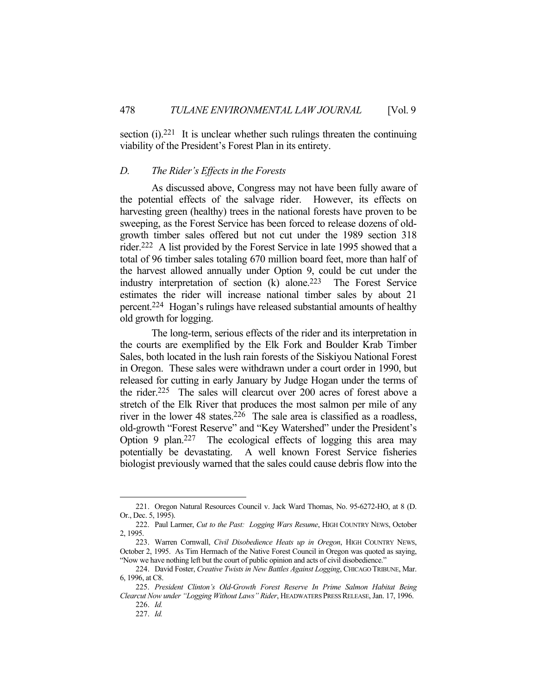section  $(i)$ .<sup>221</sup> It is unclear whether such rulings threaten the continuing viability of the President's Forest Plan in its entirety.

#### *D. The Rider's Effects in the Forests*

 As discussed above, Congress may not have been fully aware of the potential effects of the salvage rider. However, its effects on harvesting green (healthy) trees in the national forests have proven to be sweeping, as the Forest Service has been forced to release dozens of oldgrowth timber sales offered but not cut under the 1989 section 318 rider.222 A list provided by the Forest Service in late 1995 showed that a total of 96 timber sales totaling 670 million board feet, more than half of the harvest allowed annually under Option 9, could be cut under the industry interpretation of section (k) alone.223 The Forest Service estimates the rider will increase national timber sales by about 21 percent.224 Hogan's rulings have released substantial amounts of healthy old growth for logging.

 The long-term, serious effects of the rider and its interpretation in the courts are exemplified by the Elk Fork and Boulder Krab Timber Sales, both located in the lush rain forests of the Siskiyou National Forest in Oregon. These sales were withdrawn under a court order in 1990, but released for cutting in early January by Judge Hogan under the terms of the rider.225 The sales will clearcut over 200 acres of forest above a stretch of the Elk River that produces the most salmon per mile of any river in the lower 48 states.226 The sale area is classified as a roadless, old-growth "Forest Reserve" and "Key Watershed" under the President's Option 9 plan.227 The ecological effects of logging this area may potentially be devastating. A well known Forest Service fisheries biologist previously warned that the sales could cause debris flow into the

 <sup>221.</sup> Oregon Natural Resources Council v. Jack Ward Thomas, No. 95-6272-HO, at 8 (D. Or., Dec. 5, 1995).

 <sup>222.</sup> Paul Larmer, *Cut to the Past: Logging Wars Resume*, HIGH COUNTRY NEWS, October 2, 1995.

 <sup>223.</sup> Warren Cornwall, *Civil Disobedience Heats up in Oregon*, HIGH COUNTRY NEWS, October 2, 1995. As Tim Hermach of the Native Forest Council in Oregon was quoted as saying, "Now we have nothing left but the court of public opinion and acts of civil disobedience."

 <sup>224.</sup> David Foster, *Creative Twists in New Battles Against Logging*, CHICAGO TRIBUNE, Mar. 6, 1996, at C8.

 <sup>225.</sup> *President Clinton's Old-Growth Forest Reserve In Prime Salmon Habitat Being Clearcut Now under "Logging Without Laws" Rider*, HEADWATERS PRESS RELEASE, Jan. 17, 1996.

 <sup>226.</sup> *Id.* 227. *Id.*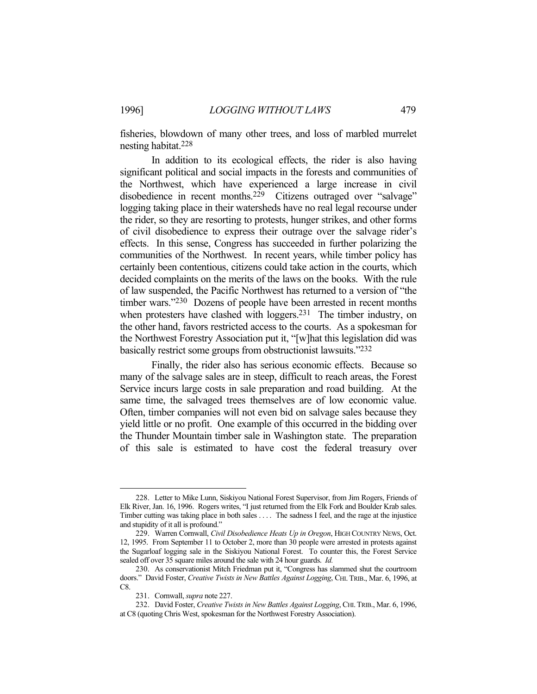fisheries, blowdown of many other trees, and loss of marbled murrelet nesting habitat.228

 In addition to its ecological effects, the rider is also having significant political and social impacts in the forests and communities of the Northwest, which have experienced a large increase in civil disobedience in recent months.<sup>229</sup> Citizens outraged over "salvage" logging taking place in their watersheds have no real legal recourse under the rider, so they are resorting to protests, hunger strikes, and other forms of civil disobedience to express their outrage over the salvage rider's effects. In this sense, Congress has succeeded in further polarizing the communities of the Northwest. In recent years, while timber policy has certainly been contentious, citizens could take action in the courts, which decided complaints on the merits of the laws on the books. With the rule of law suspended, the Pacific Northwest has returned to a version of "the timber wars."<sup>230</sup> Dozens of people have been arrested in recent months when protesters have clashed with loggers.<sup>231</sup> The timber industry, on the other hand, favors restricted access to the courts. As a spokesman for the Northwest Forestry Association put it, "[w]hat this legislation did was basically restrict some groups from obstructionist lawsuits."232

 Finally, the rider also has serious economic effects. Because so many of the salvage sales are in steep, difficult to reach areas, the Forest Service incurs large costs in sale preparation and road building. At the same time, the salvaged trees themselves are of low economic value. Often, timber companies will not even bid on salvage sales because they yield little or no profit. One example of this occurred in the bidding over the Thunder Mountain timber sale in Washington state. The preparation of this sale is estimated to have cost the federal treasury over

 <sup>228.</sup> Letter to Mike Lunn, Siskiyou National Forest Supervisor, from Jim Rogers, Friends of Elk River, Jan. 16, 1996. Rogers writes, "I just returned from the Elk Fork and Boulder Krab sales. Timber cutting was taking place in both sales . . . . The sadness I feel, and the rage at the injustice and stupidity of it all is profound."

 <sup>229.</sup> Warren Cornwall, *Civil Disobedience Heats Up in Oregon*, HIGH COUNTRY NEWS, Oct. 12, 1995. From September 11 to October 2, more than 30 people were arrested in protests against the Sugarloaf logging sale in the Siskiyou National Forest. To counter this, the Forest Service sealed off over 35 square miles around the sale with 24 hour guards. *Id.*

 <sup>230.</sup> As conservationist Mitch Friedman put it, "Congress has slammed shut the courtroom doors." David Foster, *Creative Twists in New Battles Against Logging*, CHI. TRIB., Mar. 6, 1996, at C8.

 <sup>231.</sup> Cornwall, *supra* note 227.

 <sup>232.</sup> David Foster, *Creative Twists in New Battles Against Logging*, CHI.TRIB., Mar. 6, 1996, at C8 (quoting Chris West, spokesman for the Northwest Forestry Association).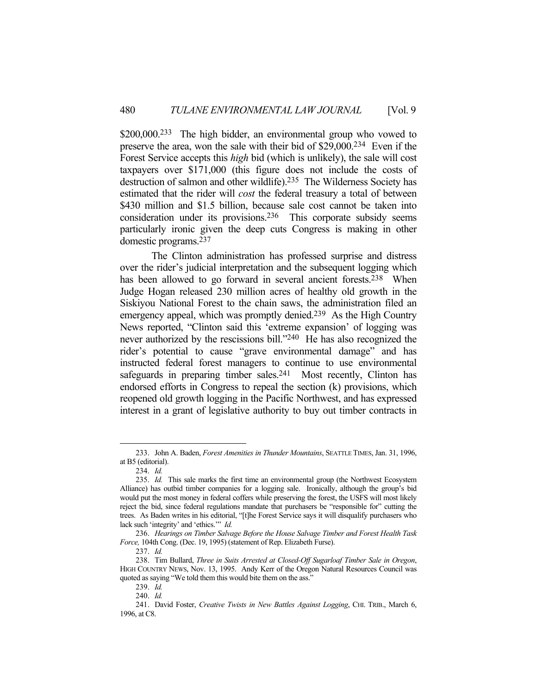\$200,000.<sup>233</sup> The high bidder, an environmental group who vowed to preserve the area, won the sale with their bid of \$29,000.234 Even if the Forest Service accepts this *high* bid (which is unlikely), the sale will cost taxpayers over \$171,000 (this figure does not include the costs of destruction of salmon and other wildlife).235 The Wilderness Society has estimated that the rider will *cost* the federal treasury a total of between \$430 million and \$1.5 billion, because sale cost cannot be taken into consideration under its provisions.236 This corporate subsidy seems particularly ironic given the deep cuts Congress is making in other domestic programs.237

 The Clinton administration has professed surprise and distress over the rider's judicial interpretation and the subsequent logging which has been allowed to go forward in several ancient forests.<sup>238</sup> When Judge Hogan released 230 million acres of healthy old growth in the Siskiyou National Forest to the chain saws, the administration filed an emergency appeal, which was promptly denied.<sup>239</sup> As the High Country News reported, "Clinton said this 'extreme expansion' of logging was never authorized by the rescissions bill."240 He has also recognized the rider's potential to cause "grave environmental damage" and has instructed federal forest managers to continue to use environmental safeguards in preparing timber sales.<sup>241</sup> Most recently, Clinton has endorsed efforts in Congress to repeal the section (k) provisions, which reopened old growth logging in the Pacific Northwest, and has expressed interest in a grant of legislative authority to buy out timber contracts in

 <sup>233.</sup> John A. Baden, *Forest Amenities in Thunder Mountains*, SEATTLE TIMES, Jan. 31, 1996, at B5 (editorial).

 <sup>234.</sup> *Id.*

 <sup>235.</sup> *Id.* This sale marks the first time an environmental group (the Northwest Ecosystem Alliance) has outbid timber companies for a logging sale. Ironically, although the group's bid would put the most money in federal coffers while preserving the forest, the USFS will most likely reject the bid, since federal regulations mandate that purchasers be "responsible for" cutting the trees. As Baden writes in his editorial, "[t]he Forest Service says it will disqualify purchasers who lack such 'integrity' and 'ethics.'" *Id.*

 <sup>236.</sup> *Hearings on Timber Salvage Before the House Salvage Timber and Forest Health Task Force,* 104th Cong. (Dec. 19, 1995) (statement of Rep. Elizabeth Furse).

 <sup>237.</sup> *Id.*

 <sup>238.</sup> Tim Bullard, *Three in Suits Arrested at Closed-Off Sugarloaf Timber Sale in Oregon*, HIGH COUNTRY NEWS, Nov. 13, 1995. Andy Kerr of the Oregon Natural Resources Council was quoted as saying "We told them this would bite them on the ass."

 <sup>239.</sup> *Id.*

 <sup>240.</sup> *Id.*

 <sup>241.</sup> David Foster, *Creative Twists in New Battles Against Logging*, CHI. TRIB., March 6, 1996, at C8.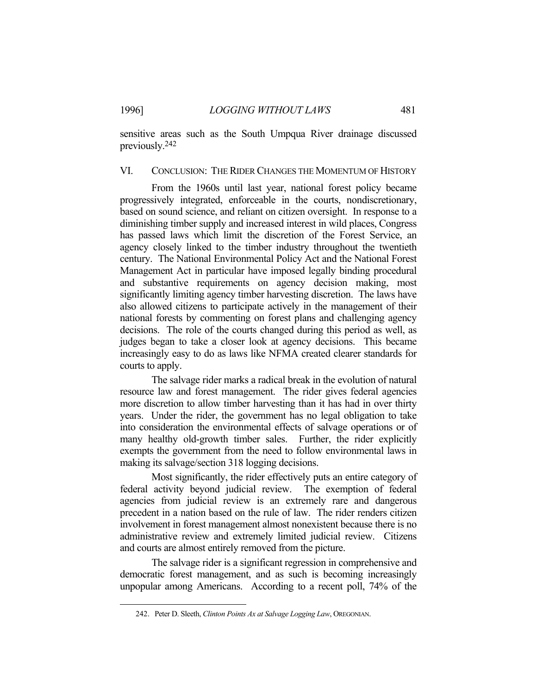sensitive areas such as the South Umpqua River drainage discussed previously.242

# VI. CONCLUSION: THE RIDER CHANGES THE MOMENTUM OF HISTORY

 From the 1960s until last year, national forest policy became progressively integrated, enforceable in the courts, nondiscretionary, based on sound science, and reliant on citizen oversight. In response to a diminishing timber supply and increased interest in wild places, Congress has passed laws which limit the discretion of the Forest Service, an agency closely linked to the timber industry throughout the twentieth century. The National Environmental Policy Act and the National Forest Management Act in particular have imposed legally binding procedural and substantive requirements on agency decision making, most significantly limiting agency timber harvesting discretion. The laws have also allowed citizens to participate actively in the management of their national forests by commenting on forest plans and challenging agency decisions. The role of the courts changed during this period as well, as judges began to take a closer look at agency decisions. This became increasingly easy to do as laws like NFMA created clearer standards for courts to apply.

 The salvage rider marks a radical break in the evolution of natural resource law and forest management. The rider gives federal agencies more discretion to allow timber harvesting than it has had in over thirty years. Under the rider, the government has no legal obligation to take into consideration the environmental effects of salvage operations or of many healthy old-growth timber sales. Further, the rider explicitly exempts the government from the need to follow environmental laws in making its salvage/section 318 logging decisions.

 Most significantly, the rider effectively puts an entire category of federal activity beyond judicial review. The exemption of federal agencies from judicial review is an extremely rare and dangerous precedent in a nation based on the rule of law. The rider renders citizen involvement in forest management almost nonexistent because there is no administrative review and extremely limited judicial review. Citizens and courts are almost entirely removed from the picture.

 The salvage rider is a significant regression in comprehensive and democratic forest management, and as such is becoming increasingly unpopular among Americans. According to a recent poll, 74% of the

 <sup>242.</sup> Peter D. Sleeth, *Clinton Points Ax at Salvage Logging Law*, OREGONIAN.